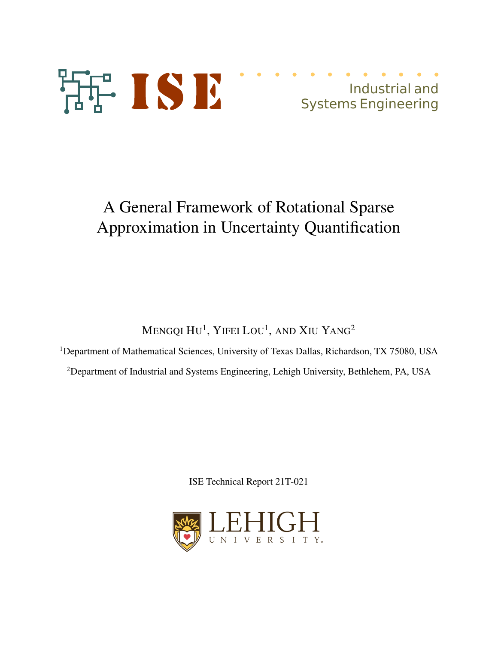

# A General Framework of Rotational Sparse Approximation in Uncertainty Quantification

Mengqi Hu $^1$ , Yifei Lou $^1$ , and Xiu Yang $^2$ 

<sup>1</sup>Department of Mathematical Sciences, University of Texas Dallas, Richardson, TX 75080, USA

<sup>2</sup>Department of Industrial and Systems Engineering, Lehigh University, Bethlehem, PA, USA

ISE Technical Report 21T-021

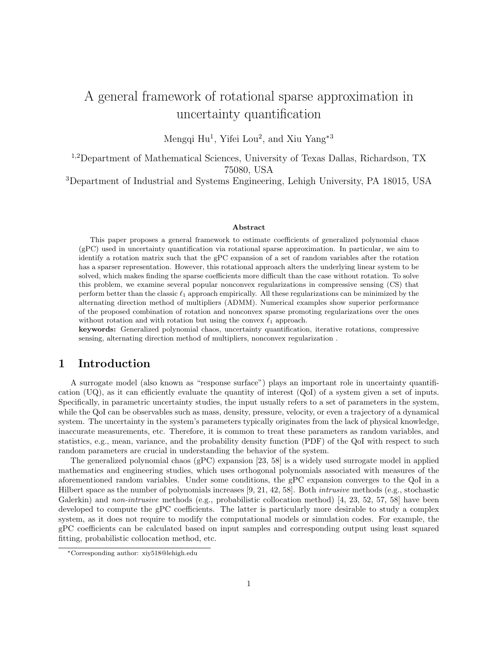## A general framework of rotational sparse approximation in uncertainty quantification

Mengqi Hu<sup>1</sup>, Yifei Lou<sup>2</sup>, and Xiu Yang<sup>\*3</sup>

1,2Department of Mathematical Sciences, University of Texas Dallas, Richardson, TX 75080, USA

<sup>3</sup>Department of Industrial and Systems Engineering, Lehigh University, PA 18015, USA

#### Abstract

This paper proposes a general framework to estimate coefficients of generalized polynomial chaos (gPC) used in uncertainty quantification via rotational sparse approximation. In particular, we aim to identify a rotation matrix such that the gPC expansion of a set of random variables after the rotation has a sparser representation. However, this rotational approach alters the underlying linear system to be solved, which makes finding the sparse coefficients more difficult than the case without rotation. To solve this problem, we examine several popular nonconvex regularizations in compressive sensing (CS) that perform better than the classic  $\ell_1$  approach empirically. All these regularizations can be minimized by the alternating direction method of multipliers (ADMM). Numerical examples show superior performance of the proposed combination of rotation and nonconvex sparse promoting regularizations over the ones without rotation and with rotation but using the convex  $\ell_1$  approach.

keywords: Generalized polynomial chaos, uncertainty quantification, iterative rotations, compressive sensing, alternating direction method of multipliers, nonconvex regularization .

## 1 Introduction

A surrogate model (also known as "response surface") plays an important role in uncertainty quantification (UQ), as it can efficiently evaluate the quantity of interest (QoI) of a system given a set of inputs. Specifically, in parametric uncertainty studies, the input usually refers to a set of parameters in the system, while the QoI can be observables such as mass, density, pressure, velocity, or even a trajectory of a dynamical system. The uncertainty in the system's parameters typically originates from the lack of physical knowledge, inaccurate measurements, etc. Therefore, it is common to treat these parameters as random variables, and statistics, e.g., mean, variance, and the probability density function (PDF) of the QoI with respect to such random parameters are crucial in understanding the behavior of the system.

The generalized polynomial chaos (gPC) expansion [23, 58] is a widely used surrogate model in applied mathematics and engineering studies, which uses orthogonal polynomials associated with measures of the aforementioned random variables. Under some conditions, the gPC expansion converges to the QoI in a Hilbert space as the number of polynomials increases [9, 21, 42, 58]. Both intrusive methods (e.g., stochastic Galerkin) and *non-intrusive* methods (e.g., probabilistic collocation method) [4, 23, 52, 57, 58] have been developed to compute the gPC coefficients. The latter is particularly more desirable to study a complex system, as it does not require to modify the computational models or simulation codes. For example, the gPC coefficients can be calculated based on input samples and corresponding output using least squared fitting, probabilistic collocation method, etc.

<sup>∗</sup>Corresponding author: xiy518@lehigh.edu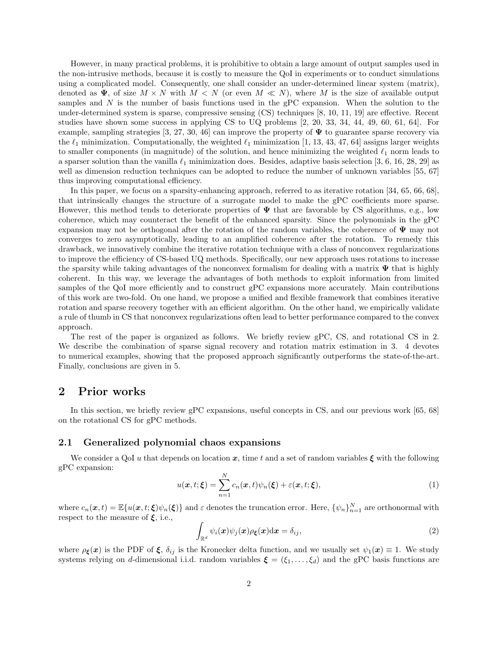However, in many practical problems, it is prohibitive to obtain a large amount of output samples used in the non-intrusive methods, because it is costly to measure the QoI in experiments or to conduct simulations using a complicated model. Consequently, one shall consider an under-determined linear system (matrix), denoted as  $\Psi$ , of size  $M \times N$  with  $M \times N$  (or even  $M \ll N$ ), where M is the size of available output samples and  $N$  is the number of basis functions used in the gPC expansion. When the solution to the under-determined system is sparse, compressive sensing (CS) techniques [8, 10, 11, 19] are effective. Recent studies have shown some success in applying CS to UQ problems [2, 20, 33, 34, 44, 49, 60, 61, 64]. For example, sampling strategies [3, 27, 30, 46] can improve the property of  $\Psi$  to guarantee sparse recovery via the  $\ell_1$  minimization. Computationally, the weighted  $\ell_1$  minimization [1, 13, 43, 47, 64] assigns larger weights to smaller components (in magnitude) of the solution, and hence minimizing the weighted  $\ell_1$  norm leads to a sparser solution than the vanilla  $\ell_1$  minimization does. Besides, adaptive basis selection [3, 6, 16, 28, 29] as well as dimension reduction techniques can be adopted to reduce the number of unknown variables [55, 67] thus improving computational efficiency.

In this paper, we focus on a sparsity-enhancing approach, referred to as iterative rotation [34, 65, 66, 68], that intrinsically changes the structure of a surrogate model to make the gPC coefficients more sparse. However, this method tends to deteriorate properties of  $\Psi$  that are favorable by CS algorithms, e.g., low coherence, which may counteract the benefit of the enhanced sparsity. Since the polynomials in the gPC expansion may not be orthogonal after the rotation of the random variables, the coherence of  $\Psi$  may not converges to zero asymptotically, leading to an amplified coherence after the rotation. To remedy this drawback, we innovatively combine the iterative rotation technique with a class of nonconvex regularizations to improve the efficiency of CS-based UQ methods. Specifically, our new approach uses rotations to increase the sparsity while taking advantages of the nonconvex formalism for dealing with a matrix  $\Psi$  that is highly coherent. In this way, we leverage the advantages of both methods to exploit information from limited samples of the QoI more efficiently and to construct gPC expansions more accurately. Main contributions of this work are two-fold. On one hand, we propose a unified and flexible framework that combines iterative rotation and sparse recovery together with an efficient algorithm. On the other hand, we empirically validate a rule of thumb in CS that nonconvex regularizations often lead to better performance compared to the convex approach.

The rest of the paper is organized as follows. We briefly review gPC, CS, and rotational CS in 2. We describe the combination of sparse signal recovery and rotation matrix estimation in 3. 4 devotes to numerical examples, showing that the proposed approach significantly outperforms the state-of-the-art. Finally, conclusions are given in 5.

## 2 Prior works

In this section, we briefly review gPC expansions, useful concepts in CS, and our previous work [65, 68] on the rotational CS for gPC methods.

#### 2.1 Generalized polynomial chaos expansions

We consider a QoI u that depends on location x, time t and a set of random variables  $\xi$  with the following gPC expansion:

$$
u(\boldsymbol{x},t;\boldsymbol{\xi}) = \sum_{n=1}^{N} c_n(\boldsymbol{x},t)\psi_n(\boldsymbol{\xi}) + \varepsilon(\boldsymbol{x},t;\boldsymbol{\xi}),
$$
\n(1)

where  $c_n(\mathbf{x}, t) = \mathbb{E}\{u(\mathbf{x}, t; \boldsymbol{\xi})\psi_n(\boldsymbol{\xi})\}\$ and  $\varepsilon$  denotes the truncation error. Here,  $\{\psi_n\}_{n=1}^N$  are orthonormal with respect to the measure of  $\xi$ , i.e.,

$$
\int_{\mathbb{R}^d} \psi_i(\boldsymbol{x}) \psi_j(\boldsymbol{x}) \rho_{\boldsymbol{\xi}}(\boldsymbol{x}) \mathrm{d}\boldsymbol{x} = \delta_{ij}, \tag{2}
$$

where  $\rho_{\xi}(x)$  is the PDF of  $\xi$ ,  $\delta_{ij}$  is the Kronecker delta function, and we usually set  $\psi_1(x) \equiv 1$ . We study systems relying on d-dimensional i.i.d. random variables  $\xi = (\xi_1, \ldots, \xi_d)$  and the gPC basis functions are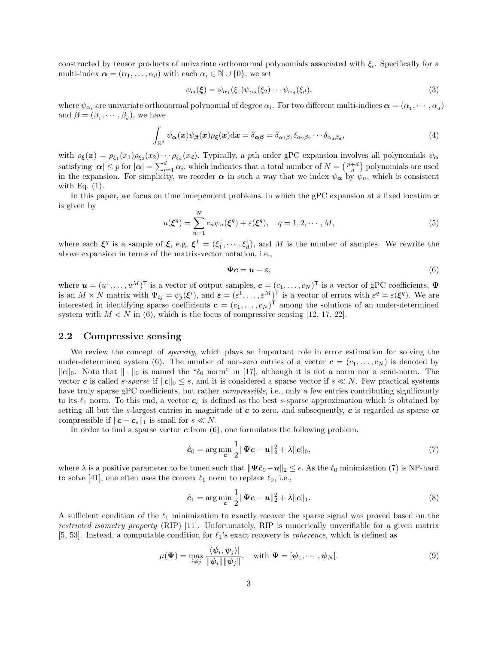constructed by tensor products of univariate orthonormal polynomials associated with  $\xi_i$ . Specifically for a multi-index  $\boldsymbol{\alpha} = (\alpha_1, \ldots, \alpha_d)$  with each  $\alpha_i \in \mathbb{N} \cup \{0\}$ , we set

$$
\psi_{\alpha}(\xi) = \psi_{\alpha_1}(\xi_1)\psi_{\alpha_2}(\xi_2)\cdots\psi_{\alpha_d}(\xi_d),\tag{3}
$$

where  $\psi_{\alpha_i}$  are univariate orthonormal polynomial of degree  $\alpha_i$ . For two different multi-indices  $\alpha = (\alpha_1, \dots, \alpha_d)$ and  $\boldsymbol{\beta} = (\beta_1, \cdots, \beta_d)$ , we have

$$
\int_{\mathbb{R}^d} \psi_{\alpha}(x) \psi_{\beta}(x) \rho_{\xi}(x) dx = \delta_{\alpha\beta} = \delta_{\alpha_1\beta_1} \delta_{\alpha_2\beta_2} \cdots \delta_{\alpha_d\beta_d},
$$
\n(4)

with  $\rho_{\xi}(x) = \rho_{\xi_1}(x_1)\rho_{\xi_2}(x_2)\cdots\rho_{\xi_d}(x_d)$ . Typically, a pth order gPC expansion involves all polynomials  $\psi_{\alpha}$ satisfying  $|\alpha| \leq p$  for  $|\alpha| = \sum_{i=1}^{d} \alpha_i$ , which indicates that a total number of  $N = \binom{p+d}{d}$  polynomials are used in the expansion. For simplicity, we reorder  $\alpha$  in such a way that we index  $\psi_{\alpha}$  by  $\psi_n$ , which is consistent with Eq.  $(1)$ .

In this paper, we focus on time independent problems, in which the gPC expansion at a fixed location  $x$ is given by

$$
u(\xi^q) = \sum_{n=1}^{N} c_n \psi_n(\xi^q) + \varepsilon(\xi^q), \quad q = 1, 2, \cdots, M,
$$
 (5)

where each  $\xi^q$  is a sample of  $\xi$ , e.g,  $\xi^1 = (\xi_1^1, \dots, \xi_d^1)$ , and M is the number of samples. We rewrite the above expansion in terms of the matrix-vector notation, i.e.,

$$
\Psi c = u - \varepsilon, \tag{6}
$$

where  $\mathbf{u} = (u^1, \dots, u^M)^\mathsf{T}$  is a vector of output samples,  $\mathbf{c} = (c_1, \dots, c_N)^\mathsf{T}$  is a vector of gPC coefficients,  $\Psi$ is an  $M \times N$  matrix with  $\Psi_{ij} = \psi_j(\xi^i)$ , and  $\varepsilon = (\varepsilon^1, \dots, \varepsilon^M)^T$  is a vector of errors with  $\varepsilon^q = \varepsilon(\xi^q)$ . We are interested in identifying sparse coefficients  $\mathbf{c} = (c_1, \dots, c_N)^\mathsf{T}$  among the solutions of an under-determined system with  $M < N$  in (6), which is the focus of compressive sensing [12, 17, 22].

#### 2.2 Compressive sensing

We review the concept of *sparsity*, which plays an important role in error estimation for solving the under-determined system (6). The number of non-zero entries of a vector  $\mathbf{c} = (c_1, \ldots, c_N)$  is denoted by  $\|\mathbf{c}\|_0$ . Note that  $\|\cdot\|_0$  is named the " $\ell_0$  norm" in [17], although it is not a norm nor a semi-norm. The vector c is called s-sparse if  $||c||_0 \leq s$ , and it is considered a sparse vector if  $s \ll N$ . Few practical systems have truly sparse gPC coefficients, but rather *compressible*, i.e., only a few entries contributing significantly to its  $\ell_1$  norm. To this end, a vector  $c_s$  is defined as the best s-sparse approximation which is obtained by setting all but the s-largest entries in magnitude of  $c$  to zero, and subsequently,  $c$  is regarded as sparse or compressible if  $\|c - c_s\|_1$  is small for  $s \ll N$ .

In order to find a sparse vector  $\boldsymbol{c}$  from (6), one formulates the following problem,

$$
\hat{\mathbf{c}}_0 = \arg\min_{\mathbf{c}} \frac{1}{2} \|\mathbf{\Psi}\mathbf{c} - \mathbf{u}\|_2^2 + \lambda \|\mathbf{c}\|_0, \tag{7}
$$

where  $\lambda$  is a positive parameter to be tuned such that  $\|\Psi\hat{c}_0-\bm{u}\|_2 \leq \epsilon$ . As the  $\ell_0$  minimization (7) is NP-hard to solve [41], one often uses the convex  $\ell_1$  norm to replace  $\ell_0$ , i.e.,

$$
\hat{c}_1 = \arg\min_{c} \frac{1}{2} ||\Psi c - u||_2^2 + \lambda ||c||_1.
$$
\n(8)

A sufficient condition of the  $\ell_1$  minimization to exactly recover the sparse signal was proved based on the restricted isometry property (RIP) [11]. Unfortunately, RIP is numerically unverifiable for a given matrix [5, 53]. Instead, a computable condition for  $\ell_1$ 's exact recovery is *coherence*, which is defined as

$$
\mu(\Psi) = \max_{i \neq j} \frac{|\langle \psi_i, \psi_j \rangle|}{\|\psi_i\| \|\psi_j\|}, \quad \text{with } \Psi = [\psi_1, \cdots, \psi_N].
$$
\n(9)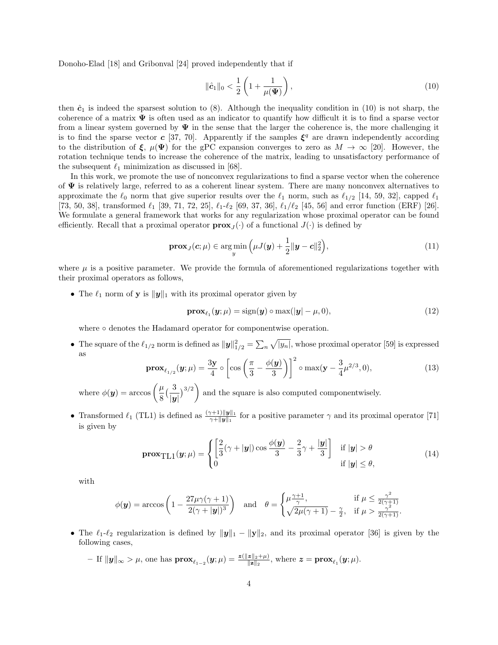Donoho-Elad [18] and Gribonval [24] proved independently that if

$$
\|\hat{c}_1\|_0 < \frac{1}{2} \left( 1 + \frac{1}{\mu(\Psi)} \right),\tag{10}
$$

then  $\hat{c}_1$  is indeed the sparsest solution to (8). Although the inequality condition in (10) is not sharp, the coherence of a matrix  $\Psi$  is often used as an indicator to quantify how difficult it is to find a sparse vector from a linear system governed by  $\Psi$  in the sense that the larger the coherence is, the more challenging it is to find the sparse vector c [37, 70]. Apparently if the samples  $\xi^q$  are drawn independently according to the distribution of  $\xi$ ,  $\mu(\Psi)$  for the gPC expansion converges to zero as  $M \to \infty$  [20]. However, the rotation technique tends to increase the coherence of the matrix, leading to unsatisfactory performance of the subsequent  $\ell_1$  minimization as discussed in [68].

In this work, we promote the use of nonconvex regularizations to find a sparse vector when the coherence of  $\Psi$  is relatively large, referred to as a coherent linear system. There are many nonconvex alternatives to approximate the  $\ell_0$  norm that give superior results over the  $\ell_1$  norm, such as  $\ell_{1/2}$  [14, 59, 32], capped  $\ell_1$ [73, 50, 38], transformed  $\ell_1$  [39, 71, 72, 25],  $\ell_1$ - $\ell_2$  [69, 37, 36],  $\ell_1/\ell_2$  [45, 56] and error function (ERF) [26]. We formulate a general framework that works for any regularization whose proximal operator can be found efficiently. Recall that a proximal operator  $\mathbf{prox}_J(\cdot)$  of a functional  $J(\cdot)$  is defined by

$$
\mathbf{prox}_{J}(\mathbf{c}; \mu) \in \argmin_{y} \left( \mu J(\mathbf{y}) + \frac{1}{2} \|\mathbf{y} - \mathbf{c}\|_{2}^{2} \right), \tag{11}
$$

where  $\mu$  is a positive parameter. We provide the formula of aforementioned regularizations together with their proximal operators as follows,

• The  $\ell_1$  norm of **y** is  $\|\mathbf{y}\|_1$  with its proximal operator given by

$$
\mathbf{prox}_{\ell_1}(\mathbf{y}; \mu) = \text{sign}(\mathbf{y}) \circ \max(|\mathbf{y}| - \mu, 0), \tag{12}
$$

where ∘ denotes the Hadamard operator for componentwise operation.

• The square of the  $\ell_{1/2}$  norm is defined as  $||y||_{1/2}^2 = \sum_n \sqrt{|y_n|}$ , whose proximal operator [59] is expressed as

$$
\mathbf{prox}_{\ell_{1/2}}(\mathbf{y}; \mu) = \frac{3\mathbf{y}}{4} \circ \left[ \cos \left( \frac{\pi}{3} - \frac{\phi(\mathbf{y})}{3} \right) \right]^2 \circ \max(\mathbf{y} - \frac{3}{4}\mu^{2/3}, 0), \tag{13}
$$

where  $\phi(\mathbf{y}) = \arccos\left(\frac{\mu}{\sigma}\right)$ 8  $\frac{3}{2}$  $|\bm{y}|$  $3^{3/2}$ and the square is also computed componentwisely.

• Transformed  $\ell_1$  (TL1) is defined as  $\frac{(\gamma+1)\|\mathbf{y}\|_1}{\gamma+\|\mathbf{y}\|_1}$  for a positive parameter  $\gamma$  and its proximal operator [71] is given by

$$
\mathbf{prox}_{\mathrm{TL1}}(\mathbf{y}; \mu) = \begin{cases} \left[ \frac{2}{3} (\gamma + |\mathbf{y}|) \cos \frac{\phi(\mathbf{y})}{3} - \frac{2}{3} \gamma + \frac{|\mathbf{y}|}{3} \right] & \text{if } |\mathbf{y}| > \theta \\ 0 & \text{if } |\mathbf{y}| \le \theta, \end{cases}
$$
(14)

with

$$
\phi(\mathbf{y}) = \arccos\left(1 - \frac{27\mu\gamma(\gamma+1)}{2(\gamma+|\mathbf{y}|)^3}\right) \quad \text{and} \quad \theta = \begin{cases} \mu \frac{\gamma+1}{\gamma}, & \text{if } \mu \le \frac{\gamma^2}{2(\gamma+1)}\\ \sqrt{2\mu(\gamma+1)} - \frac{\gamma}{2}, & \text{if } \mu > \frac{\gamma^2}{2(\gamma+1)}. \end{cases}
$$

• The  $\ell_1$ - $\ell_2$  regularization is defined by  $\|\mathbf{y}\|_1 - \|\mathbf{y}\|_2$ , and its proximal operator [36] is given by the following cases,

$$
- \text{ If } \|\mathbf{y}\|_{\infty} > \mu, \text{ one has } \mathbf{prox}_{\ell_1-2}(\mathbf{y}; \mu) = \frac{\mathbf{z}(\|\mathbf{z}\|_2 + \mu)}{\|\mathbf{z}\|_2}, \text{ where } \mathbf{z} = \mathbf{prox}_{\ell_1}(\mathbf{y}; \mu).
$$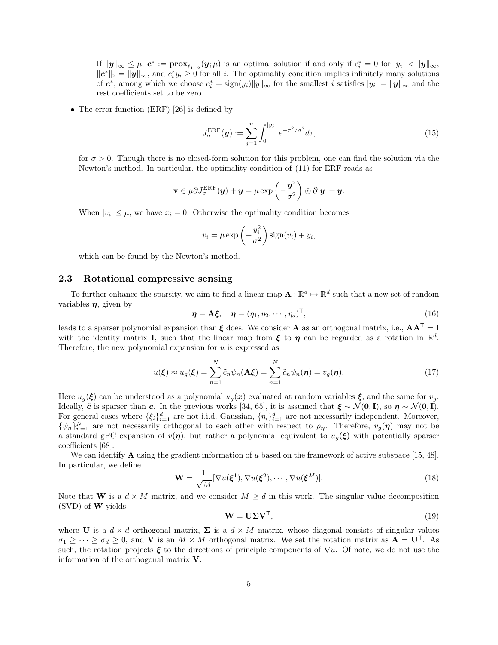$-\text{ If } \|y\|_{\infty} \leq \mu, \, \boldsymbol{c}^* := \boldsymbol{prox}_{\ell_1-2}(\boldsymbol{y}; \mu)$  is an optimal solution if and only if  $c_i^* = 0$  for  $|y_i| < \|y\|_{\infty}$ ,  $||c^*||_2 = ||y||_{\infty}$ , and  $c_i^* y_i \ge 0$  for all i. The optimality condition implies infinitely many solutions of  $c^*$ , among which we choose  $c_i^* = \text{sign}(y_i) ||y||_{\infty}$  for the smallest i satisfies  $|y_i| = ||y||_{\infty}$  and the rest coefficients set to be zero.

• The error function (ERF) [26] is defined by

$$
J_{\sigma}^{\text{ERF}}(\mathbf{y}) := \sum_{j=1}^{n} \int_{0}^{|y_j|} e^{-\tau^2/\sigma^2} d\tau,
$$
\n(15)

for  $\sigma > 0$ . Though there is no closed-form solution for this problem, one can find the solution via the Newton's method. In particular, the optimality condition of (11) for ERF reads as

$$
\mathbf{v} \in \mu \partial J^{\text{ERF}}_{\sigma}(\boldsymbol{y}) + \boldsymbol{y} = \mu \exp\left(-\frac{\boldsymbol{y}^2}{\sigma^2}\right) \odot \partial |\boldsymbol{y}| + \boldsymbol{y}.
$$

When  $|v_i| \leq \mu$ , we have  $x_i = 0$ . Otherwise the optimality condition becomes

$$
v_i = \mu \exp\left(-\frac{y_i^2}{\sigma^2}\right) \text{sign}(v_i) + y_i,
$$

which can be found by the Newton's method.

#### 2.3 Rotational compressive sensing

To further enhance the sparsity, we aim to find a linear map  $\mathbf{A} : \mathbb{R}^d \mapsto \mathbb{R}^d$  such that a new set of random variables  $\eta$ , given by

$$
\boldsymbol{\eta} = \mathbf{A}\boldsymbol{\xi}, \quad \boldsymbol{\eta} = (\eta_1, \eta_2, \cdots, \eta_d)^{\mathsf{T}}, \tag{16}
$$

leads to a sparser polynomial expansion than  $\xi$  does. We consider **A** as an orthogonal matrix, i.e.,  $AA^T = I$ with the identity matrix **I**, such that the linear map from  $\xi$  to  $\eta$  can be regarded as a rotation in  $\mathbb{R}^d$ . Therefore, the new polynomial expansion for  $u$  is expressed as

$$
u(\boldsymbol{\xi}) \approx u_g(\boldsymbol{\xi}) = \sum_{n=1}^N \tilde{c}_n \psi_n(\mathbf{A}\boldsymbol{\xi}) = \sum_{n=1}^N \tilde{c}_n \psi_n(\boldsymbol{\eta}) = v_g(\boldsymbol{\eta}). \tag{17}
$$

Here  $u_q(\xi)$  can be understood as a polynomial  $u_q(x)$  evaluated at random variables  $\xi$ , and the same for  $v_q$ . Ideally,  $\tilde{c}$  is sparser than c. In the previous works [34, 65], it is assumed that  $\xi \sim \mathcal{N}(\mathbf{0}, \mathbf{I})$ , so  $\eta \sim \mathcal{N}(\mathbf{0}, \mathbf{I})$ . For general cases where  $\{\xi_i\}_{i=1}^d$  are not i.i.d. Gaussian,  $\{\eta_i\}_{i=1}^d$  are not necessarily independent. Moreover,  $\{\psi_n\}_{n=1}^N$  are not necessarily orthogonal to each other with respect to  $\rho_{\eta}$ . Therefore,  $v_g(\eta)$  may not be a standard gPC expansion of  $v(\eta)$ , but rather a polynomial equivalent to  $u_q(\xi)$  with potentially sparser coefficients [68].

We can identify **A** using the gradient information of u based on the framework of active subspace [15, 48]. In particular, we define

$$
\mathbf{W} = \frac{1}{\sqrt{M}} [\nabla u(\boldsymbol{\xi}^1), \nabla u(\boldsymbol{\xi}^2), \cdots, \nabla u(\boldsymbol{\xi}^M)].
$$
\n(18)

Note that W is a  $d \times M$  matrix, and we consider  $M \geq d$  in this work. The singular value decomposition (SVD) of W yields

$$
\mathbf{W} = \mathbf{U} \Sigma \mathbf{V}^{\mathsf{T}},\tag{19}
$$

where U is a  $d \times d$  orthogonal matrix,  $\Sigma$  is a  $d \times M$  matrix, whose diagonal consists of singular values  $\sigma_1 \geq \cdots \geq \sigma_d \geq 0$ , and **V** is an  $M \times M$  orthogonal matrix. We set the rotation matrix as  $\mathbf{A} = \mathbf{U}^{\mathsf{T}}$ . As such, the rotation projects  $\xi$  to the directions of principle components of  $\nabla u$ . Of note, we do not use the information of the orthogonal matrix V.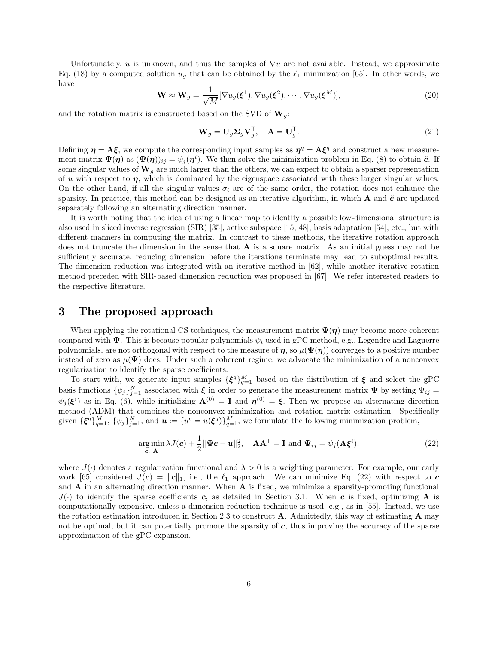Unfortunately, u is unknown, and thus the samples of  $\nabla u$  are not available. Instead, we approximate Eq. (18) by a computed solution  $u_q$  that can be obtained by the  $\ell_1$  minimization [65]. In other words, we have

$$
\mathbf{W} \approx \mathbf{W}_g = \frac{1}{\sqrt{M}} [\nabla u_g(\boldsymbol{\xi}^1), \nabla u_g(\boldsymbol{\xi}^2), \cdots, \nabla u_g(\boldsymbol{\xi}^M)],
$$
\n(20)

and the rotation matrix is constructed based on the SVD of  $\mathbf{W}_q$ :

$$
\mathbf{W}_g = \mathbf{U}_g \mathbf{\Sigma}_g \mathbf{V}_g^{\mathsf{T}}, \quad \mathbf{A} = \mathbf{U}_g^{\mathsf{T}}.
$$
\n(21)

Defining  $\eta = A \xi$ , we compute the corresponding input samples as  $\eta^q = A \xi^q$  and construct a new measurement matrix  $\Psi(\eta)$  as  $(\Psi(\eta))_{ij} = \psi_j(\eta^i)$ . We then solve the minimization problem in Eq. (8) to obtain  $\tilde{c}$ . If some singular values of  $\mathbf{W}_q$  are much larger than the others, we can expect to obtain a sparser representation of u with respect to  $\eta$ , which is dominated by the eigenspace associated with these larger singular values. On the other hand, if all the singular values  $\sigma_i$  are of the same order, the rotation does not enhance the sparsity. In practice, this method can be designed as an iterative algorithm, in which  $\bf{A}$  and  $\tilde{\bf{c}}$  are updated separately following an alternating direction manner.

It is worth noting that the idea of using a linear map to identify a possible low-dimensional structure is also used in sliced inverse regression (SIR) [35], active subspace [15, 48], basis adaptation [54], etc., but with different manners in computing the matrix. In contrast to these methods, the iterative rotation approach does not truncate the dimension in the sense that  $A$  is a square matrix. As an initial guess may not be sufficiently accurate, reducing dimension before the iterations terminate may lead to suboptimal results. The dimension reduction was integrated with an iterative method in [62], while another iterative rotation method preceded with SIR-based dimension reduction was proposed in [67]. We refer interested readers to the respective literature.

### 3 The proposed approach

When applying the rotational CS techniques, the measurement matrix  $\Psi(\eta)$  may become more coherent compared with  $\Psi$ . This is because popular polynomials  $\psi_i$  used in gPC method, e.g., Legendre and Laguerre polynomials, are not orthogonal with respect to the measure of  $\eta$ , so  $\mu(\Psi(\eta))$  converges to a positive number instead of zero as  $\mu(\Psi)$  does. Under such a coherent regime, we advocate the minimization of a nonconvex regularization to identify the sparse coefficients.

To start with, we generate input samples  $\{\boldsymbol{\xi}^q\}_{q=1}^M$  based on the distribution of  $\boldsymbol{\xi}$  and select the gPC basis functions  $\{\psi_j\}_{j=1}^N$  associated with  $\xi$  in order to generate the measurement matrix  $\Psi$  by setting  $\Psi_{ij}$  =  $\psi_j(\boldsymbol{\xi}^i)$  as in Eq. (6), while initializing  $\mathbf{A}^{(0)} = \mathbf{I}$  and  $\boldsymbol{\eta}^{(0)} = \boldsymbol{\xi}$ . Then we propose an alternating direction method (ADM) that combines the nonconvex minimization and rotation matrix estimation. Specifically given  $\{\boldsymbol{\xi}^q\}_{q=1}^M$ ,  $\{\psi_j\}_{j=1}^N$ , and  $\boldsymbol{u} := \{u^q = u(\boldsymbol{\xi}^q)\}_{q=1}^M$ , we formulate the following minimization problem,

$$
\underset{\mathbf{c}, \ \mathbf{A}}{\arg \min} \ \lambda J(\mathbf{c}) + \frac{1}{2} \|\Psi \mathbf{c} - \mathbf{u}\|_2^2, \quad \mathbf{A}\mathbf{A}^{\mathsf{T}} = \mathbf{I} \ \text{and} \ \Psi_{ij} = \psi_j(\mathbf{A}\boldsymbol{\xi}^i),\tag{22}
$$

where  $J(\cdot)$  denotes a regularization functional and  $\lambda > 0$  is a weighting parameter. For example, our early work [65] considered  $J(c) = ||c||_1$ , i.e., the  $\ell_1$  approach. We can minimize Eq. (22) with respect to c and  $A$  in an alternating direction manner. When  $A$  is fixed, we minimize a sparsity-promoting functional  $J(\cdot)$  to identify the sparse coefficients c, as detailed in Section 3.1. When c is fixed, optimizing A is computationally expensive, unless a dimension reduction technique is used, e.g., as in [55]. Instead, we use the rotation estimation introduced in Section 2.3 to construct **A**. Admittedly, this way of estimating **A** may not be optimal, but it can potentially promote the sparsity of  $c$ , thus improving the accuracy of the sparse approximation of the gPC expansion.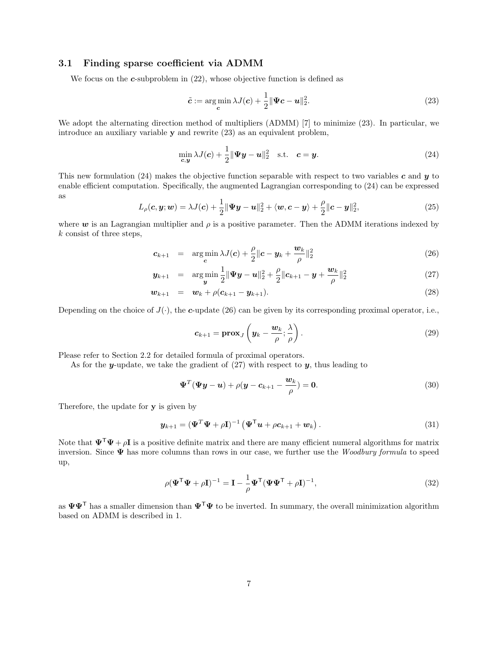#### 3.1 Finding sparse coefficient via ADMM

We focus on the  $c$ -subproblem in  $(22)$ , whose objective function is defined as

$$
\tilde{\mathbf{c}} := \underset{\mathbf{c}}{\arg\min} \lambda J(\mathbf{c}) + \frac{1}{2} \|\Psi \mathbf{c} - \mathbf{u}\|_2^2. \tag{23}
$$

We adopt the alternating direction method of multipliers (ADMM) [7] to minimize (23). In particular, we introduce an auxiliary variable y and rewrite (23) as an equivalent problem,

$$
\min_{\mathbf{c},\mathbf{y}} \lambda J(\mathbf{c}) + \frac{1}{2} \|\mathbf{\Psi}\mathbf{y} - \mathbf{u}\|_2^2 \quad \text{s.t.} \quad \mathbf{c} = \mathbf{y}.\tag{24}
$$

This new formulation (24) makes the objective function separable with respect to two variables c and y to enable efficient computation. Specifically, the augmented Lagrangian corresponding to (24) can be expressed as

$$
L_{\rho}(\boldsymbol{c}, \boldsymbol{y}; \boldsymbol{w}) = \lambda J(\boldsymbol{c}) + \frac{1}{2} \|\boldsymbol{\Psi}\boldsymbol{y} - \boldsymbol{u}\|_{2}^{2} + \langle \boldsymbol{w}, \boldsymbol{c} - \boldsymbol{y} \rangle + \frac{\rho}{2} \|\boldsymbol{c} - \boldsymbol{y}\|_{2}^{2}, \tag{25}
$$

where  $w$  is an Lagrangian multiplier and  $\rho$  is a positive parameter. Then the ADMM iterations indexed by k consist of three steps,

$$
\boldsymbol{c}_{k+1} = \argmin_{\boldsymbol{c}} \lambda J(\boldsymbol{c}) + \frac{\rho}{2} \|\boldsymbol{c} - \boldsymbol{y}_k + \frac{\boldsymbol{w}_k}{\rho}\|_2^2 \tag{26}
$$

$$
\mathbf{y}_{k+1} = \argmin_{\mathbf{y}} \frac{1}{2} || \mathbf{\Psi} \mathbf{y} - \mathbf{u} ||_2^2 + \frac{\rho}{2} || \mathbf{c}_{k+1} - \mathbf{y} + \frac{\mathbf{w}_k}{\rho} ||_2^2
$$
 (27)

$$
\mathbf{w}_{k+1} = \mathbf{w}_k + \rho(\mathbf{c}_{k+1} - \mathbf{y}_{k+1}). \tag{28}
$$

Depending on the choice of  $J(\cdot)$ , the c-update (26) can be given by its corresponding proximal operator, i.e.,

$$
c_{k+1} = \mathbf{prox}_{J}\left(\mathbf{y}_k - \frac{\mathbf{w}_k}{\rho}; \frac{\lambda}{\rho}\right). \tag{29}
$$

Please refer to Section 2.2 for detailed formula of proximal operators.

As for the y-update, we take the gradient of  $(27)$  with respect to y, thus leading to

$$
\mathbf{\Psi}^T(\mathbf{\Psi}\mathbf{y}-\mathbf{u}) + \rho(\mathbf{y}-\mathbf{c}_{k+1}-\frac{\mathbf{w}_k}{\rho}) = \mathbf{0}.\tag{30}
$$

Therefore, the update for y is given by

$$
\mathbf{y}_{k+1} = (\mathbf{\Psi}^T \mathbf{\Psi} + \rho \mathbf{I})^{-1} (\mathbf{\Psi}^T \mathbf{u} + \rho \mathbf{c}_{k+1} + \mathbf{w}_k).
$$
 (31)

Note that  $\Psi^{\top}\Psi + \rho I$  is a positive definite matrix and there are many efficient numeral algorithms for matrix inversion. Since  $\Psi$  has more columns than rows in our case, we further use the Woodbury formula to speed up,

$$
\rho(\mathbf{\Psi}^{\mathsf{T}}\mathbf{\Psi} + \rho \mathbf{I})^{-1} = \mathbf{I} - \frac{1}{\rho} \mathbf{\Psi}^{\mathsf{T}} (\mathbf{\Psi} \mathbf{\Psi}^{\mathsf{T}} + \rho \mathbf{I})^{-1},\tag{32}
$$

as  $\Psi \Psi^{\mathsf{T}}$  has a smaller dimension than  $\Psi^{\mathsf{T}}\Psi$  to be inverted. In summary, the overall minimization algorithm based on ADMM is described in 1.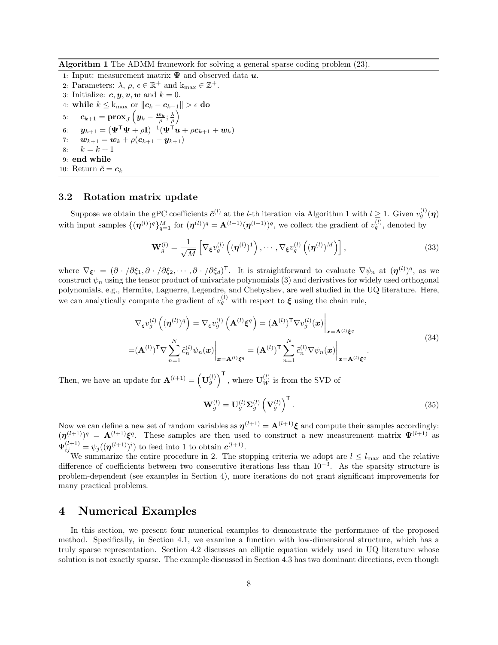Algorithm 1 The ADMM framework for solving a general sparse coding problem (23).

- 1: Input: measurement matrix  $\Psi$  and observed data  $u$ .
- 2: Parameters:  $\lambda, \rho, \epsilon \in \mathbb{R}^+$  and  $k_{\text{max}} \in \mathbb{Z}^+$ .
- 3: Initialize:  $c, y, v, w$  and  $k = 0$ .
- 4: while  $k \leq k_{\text{max}}$  or  $||c_k c_{k-1}|| > \epsilon$  do  $\overline{ }$
- 5:  $\bm{c}_{k+1} = \textbf{prox}_J\left(\bm{y}_k \frac{\bm{w}_k}{\rho};\frac{\lambda}{\rho}\right)$
- 6:  $\bm{y}_{k+1} = (\bm{\Psi}^\mathsf{T} \bm{\Psi} + \rho \mathbf{I})^{-1} (\bm{\Psi}^\mathsf{T} \bm{u} + \rho \bm{c}_{k+1} + \bm{w}_k)$
- 7:  $\bm{w}_{k+1} = \bm{w}_k + \rho(\bm{c}_{k+1} \bm{y}_{k+1})$ <br>8:  $k = k+1$
- $k = k + 1$
- 9: end while

10: Return  $\tilde{\boldsymbol{c}} = \boldsymbol{c}_k$ 

#### 3.2 Rotation matrix update

Suppose we obtain the gPC coefficients  $\tilde{c}^{(l)}$  at the *l*-th iteration via Algorithm 1 with  $l \geq 1$ . Given  $v_g^{(l)}(\eta)$ with input samples  $\{(\boldsymbol{\eta}^{(l)})^q\}_{q=1}^M$  for  $(\boldsymbol{\eta}^{(l)})^q = \mathbf{A}^{(l-1)}(\boldsymbol{\eta}^{(l-1)})^q$ , we collect the gradient of  $v_g^{(l)}$ , denoted by

$$
\mathbf{W}_g^{(l)} = \frac{1}{\sqrt{M}} \left[ \nabla_{\xi} v_g^{(l)} \left( (\boldsymbol{\eta}^{(l)})^1 \right), \cdots, \nabla_{\xi} v_g^{(l)} \left( (\boldsymbol{\eta}^{(l)})^M \right) \right],\tag{33}
$$

where  $\nabla_{\xi} = (\partial \cdot/\partial \xi_1, \partial \cdot/\partial \xi_2, \cdots, \partial \cdot/\partial \xi_d)^\mathsf{T}$ . It is straightforward to evaluate  $\nabla \psi_n$  at  $(\eta^{(l)})^q$ , as we construct  $\psi_n$  using the tensor product of univariate polynomials (3) and derivatives for widely used orthogonal polynomials, e.g., Hermite, Laguerre, Legendre, and Chebyshev, are well studied in the UQ literature. Here, we can analytically compute the gradient of  $v_g^{(l)}$  with respect to  $\xi$  using the chain rule,

$$
\nabla_{\xi} v_g^{(l)} \left( (\boldsymbol{\eta}^{(l)})^q \right) = \nabla_{\xi} v_g^{(l)} \left( \mathbf{A}^{(l)} \xi^q \right) = (\mathbf{A}^{(l)})^{\mathsf{T}} \nabla v_g^{(l)} (\boldsymbol{x}) \Big|_{\boldsymbol{x} = \mathbf{A}^{(l)} \xi^q}
$$
\n
$$
= (\mathbf{A}^{(l)})^{\mathsf{T}} \nabla \sum_{n=1}^N \tilde{c}_n^{(l)} \psi_n(\boldsymbol{x}) \Big|_{\boldsymbol{x} = \mathbf{A}^{(l)} \xi^q} = (\mathbf{A}^{(l)})^{\mathsf{T}} \sum_{n=1}^N \tilde{c}_n^{(l)} \nabla \psi_n(\boldsymbol{x}) \Big|_{\boldsymbol{x} = \mathbf{A}^{(l)} \xi^q}.
$$
\n(34)

Then, we have an update for  $\mathbf{A}^{(l+1)} = (\mathbf{U}_g^{(l)})^{\mathsf{T}}$ , where  $\mathbf{U}_W^{(l)}$  is from the SVD of

$$
\mathbf{W}_g^{(l)} = \mathbf{U}_g^{(l)} \mathbf{\Sigma}_g^{(l)} \left( \mathbf{V}_g^{(l)} \right)^{\mathsf{T}} . \tag{35}
$$

Now we can define a new set of random variables as  $\eta^{(l+1)} = A^{(l+1)}\xi$  and compute their samples accordingly:  $(\eta^{(l+1)})^q = A^{(l+1)}\xi^q$ . These samples are then used to construct a new measurement matrix  $\Psi^{(l+1)}$  as  $\Psi_{ij}^{(l+1)} = \psi_j((\boldsymbol{\eta}^{(l+1)})^i)$  to feed into 1 to obtain  $\boldsymbol{c}^{(l+1)}$ .

We summarize the entire procedure in 2. The stopping criteria we adopt are  $l \leq l_{\text{max}}$  and the relative difference of coefficients between two consecutive iterations less than 10−<sup>3</sup> . As the sparsity structure is problem-dependent (see examples in Section 4), more iterations do not grant significant improvements for many practical problems.

## 4 Numerical Examples

In this section, we present four numerical examples to demonstrate the performance of the proposed method. Specifically, in Section 4.1, we examine a function with low-dimensional structure, which has a truly sparse representation. Section 4.2 discusses an elliptic equation widely used in UQ literature whose solution is not exactly sparse. The example discussed in Section 4.3 has two dominant directions, even though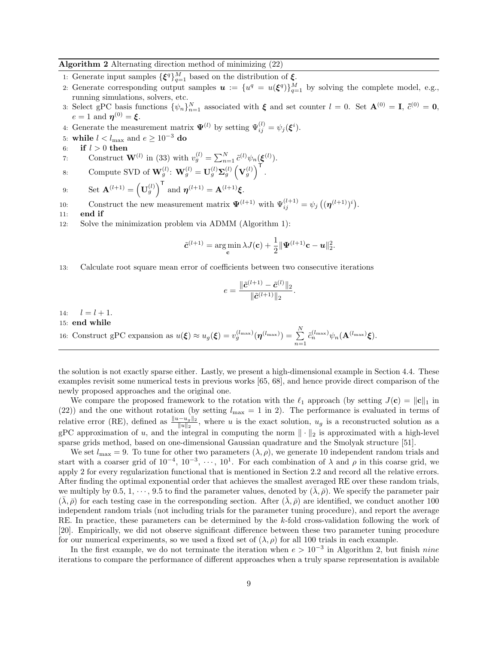#### Algorithm 2 Alternating direction method of minimizing (22)

- 1: Generate input samples  $\{\boldsymbol{\xi}^q\}_{q=1}^M$  based on the distribution of  $\boldsymbol{\xi}$ .
- 2: Generate corresponding output samples  $u := \{u^q = u(\xi^q)\}_{q=1}^M$  by solving the complete model, e.g., running simulations, solvers, etc.
- 3: Select gPC basis functions  $\{\psi_n\}_{n=1}^N$  associated with  $\xi$  and set counter  $l = 0$ . Set  $\mathbf{A}^{(0)} = \mathbf{I}$ ,  $\tilde{c}^{(0)} = \mathbf{0}$ ,  $e=1$  and  $\boldsymbol{\eta}^{(0)}=\boldsymbol{\xi}.$
- 4: Generate the measurement matrix  $\Psi^{(l)}$  by setting  $\Psi^{(l)}_{ij} = \psi_j(\boldsymbol{\xi}^i)$ .
- 5: while  $l < l_{\text{max}}$  and  $e \ge 10^{-3}$  do<br>6: if  $l > 0$  then
- if  $l > 0$  then
- 7: Construct **W**<sup>(l)</sup> in (33) with  $v_g^{(l)} = \sum_{n=1}^{N} \tilde{c}^{(l)} \psi_n(\boldsymbol{\xi}^{(l)})$ .

8: Compute SVD of 
$$
\mathbf{W}_g^{(l)}
$$
:  $\mathbf{W}_g^{(l)} = \mathbf{U}_g^{(l)} \mathbf{\Sigma}_g^{(l)} \left( \mathbf{V}_g^{(l)} \right)^{\mathsf{T}}$ .

9: Set 
$$
\mathbf{A}^{(l+1)} = (\mathbf{U}_g^{(l)})^{\mathsf{T}}
$$
 and  $\boldsymbol{\eta}^{(l+1)} = \mathbf{A}^{(l+1)}\boldsymbol{\xi}$ .

10: Construct the new measurement matrix  $\Psi^{(l+1)}$  with  $\Psi^{(l+1)}_{ij} = \psi_j \left( (\boldsymbol{\eta}^{(l+1)})^i \right)$ .

- 11: end if
- 12: Solve the minimization problem via ADMM (Algorithm 1):

$$
\tilde{\mathbf{c}}^{(l+1)} = \argmin_{\mathbf{c}} \lambda J(\mathbf{c}) + \frac{1}{2} ||\mathbf{\Psi}^{(l+1)}\mathbf{c} - \mathbf{u}||_2^2.
$$

13: Calculate root square mean error of coefficients between two consecutive iterations

$$
e = \frac{\|\tilde{\mathbf{c}}^{(l+1)} - \tilde{\mathbf{c}}^{(l)}\|_2}{\|\tilde{\mathbf{c}}^{(l+1)}\|_2}
$$

.

14:  $l = l + 1.$ 

#### 15: end while

16: Construct gPC expansion as 
$$
u(\xi) \approx u_g(\xi) = v_g^{(l_{\text{max}})}(\boldsymbol{\eta}^{(l_{\text{max}})}) = \sum_{n=1}^N \tilde{c}_n^{(l_{\text{max}})} \psi_n(\mathbf{A}^{(l_{\text{max}})}\xi).
$$

the solution is not exactly sparse either. Lastly, we present a high-dimensional example in Section 4.4. These examples revisit some numerical tests in previous works [65, 68], and hence provide direct comparison of the newly proposed approaches and the original one.

We compare the proposed framework to the rotation with the  $\ell_1$  approach (by setting  $J(\mathbf{c}) = ||\mathbf{c}||_1$  in (22)) and the one without rotation (by setting  $l_{\text{max}} = 1$  in 2). The performance is evaluated in terms of relative error (RE), defined as  $\frac{\|u-u_g\|_2}{\|u\|_2}$ , where u is the exact solution,  $u_g$  is a reconstructed solution as a gPC approximation of u, and the integral in computing the norm  $\|\cdot\|_2$  is approximated with a high-level sparse grids method, based on one-dimensional Gaussian quadrature and the Smolyak structure [51].

We set  $l_{\text{max}} = 9$ . To tune for other two parameters  $(\lambda, \rho)$ , we generate 10 independent random trials and start with a coarser grid of  $10^{-4}$ ,  $10^{-3}$ ,  $\dots$ ,  $10^{1}$ . For each combination of  $\lambda$  and  $\rho$  in this coarse grid, we apply 2 for every regularization functional that is mentioned in Section 2.2 and record all the relative errors. After finding the optimal exponential order that achieves the smallest averaged RE over these random trials, we multiply by 0.5, 1,  $\cdots$ , 9.5 to find the parameter values, denoted by  $(\lambda, \bar{\rho})$ . We specify the parameter pair  $(\bar{\lambda}, \bar{\rho})$  for each testing case in the corresponding section. After  $(\bar{\lambda}, \bar{\rho})$  are identified, we conduct another 100 independent random trials (not including trials for the parameter tuning procedure), and report the average RE. In practice, these parameters can be determined by the k-fold cross-validation following the work of [20]. Empirically, we did not observe significant difference between these two parameter tuning procedure for our numerical experiments, so we used a fixed set of  $(\lambda, \rho)$  for all 100 trials in each example.

In the first example, we do not terminate the iteration when  $e > 10^{-3}$  in Algorithm 2, but finish *nine* iterations to compare the performance of different approaches when a truly sparse representation is available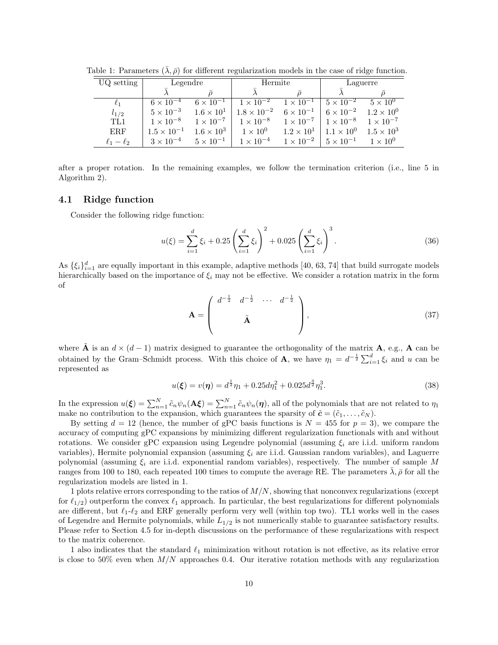| UQ setting      | Legendre             |                     | Hermite              |                     | Laguerre            |                     |
|-----------------|----------------------|---------------------|----------------------|---------------------|---------------------|---------------------|
|                 |                      |                     |                      |                     |                     |                     |
| $\ell_1$        | $6 \times 10^{-4}$   | $6 \times 10^{-1}$  | $1 \times 10^{-2}$   | $1 \times 10^{-1}$  | $5 \times 10^{-2}$  | $5 \times 10^{0}$   |
| $l_{1/2}$       | $5 \times 10^{-3}$   | $1.6 \times 10^{1}$ | $1.8 \times 10^{-2}$ | $6\times10^{-1}$    | $6 \times 10^{-2}$  | $1.2 \times 10^{0}$ |
| TL1             | $1 \times 10^{-8}$   | $1 \times 10^{-7}$  | $1 \times 10^{-8}$   | $1 \times 10^{-7}$  | $1 \times 10^{-8}$  | $1 \times 10^{-7}$  |
| ERF             | $1.5 \times 10^{-1}$ | $1.6 \times 10^3$   | $1\times10^{0}$      | $1.2 \times 10^{1}$ | $1.1 \times 10^{0}$ | $1.5 \times 10^3$   |
| $\ell_1-\ell_2$ | $3 \times 10^{-4}$   | $5 \times 10^{-1}$  | $1 \times 10^{-4}$   | $1 \times 10^{-2}$  | $5 \times 10^{-1}$  | $1 \times 10^{0}$   |

Table 1: Parameters  $(\lambda, \bar{\rho})$  for different regularization models in the case of ridge function.

after a proper rotation. In the remaining examples, we follow the termination criterion (i.e., line 5 in Algorithm 2).

#### 4.1 Ridge function

Consider the following ridge function:

$$
u(\xi) = \sum_{i=1}^{d} \xi_i + 0.25 \left( \sum_{i=1}^{d} \xi_i \right)^2 + 0.025 \left( \sum_{i=1}^{d} \xi_i \right)^3.
$$
 (36)

As  $\{\xi_i\}_{i=1}^d$  are equally important in this example, adaptive methods [40, 63, 74] that build surrogate models hierarchically based on the importance of  $\xi_i$  may not be effective. We consider a rotation matrix in the form of

$$
\mathbf{A} = \begin{pmatrix} d^{-\frac{1}{2}} & d^{-\frac{1}{2}} & \cdots & d^{-\frac{1}{2}} \\ \ddots & \tilde{\mathbf{A}} & & \end{pmatrix},\tag{37}
$$

where  $\tilde{A}$  is an  $d \times (d-1)$  matrix designed to guarantee the orthogonality of the matrix  $A$ , e.g.,  $A$  can be obtained by the Gram–Schmidt process. With this choice of **A**, we have  $\eta_1 = d^{-\frac{1}{2}} \sum_{i=1}^d \xi_i$  and u can be represented as

$$
u(\xi) = v(\eta) = d^{\frac{1}{2}} \eta_1 + 0.25 d\eta_1^2 + 0.025 d^{\frac{3}{2}} \eta_1^3. \tag{38}
$$

In the expression  $u(\boldsymbol{\xi}) = \sum_{n=1}^{N} \tilde{c}_n \psi_n(\mathbf{A}\boldsymbol{\xi}) = \sum_{n=1}^{N} \tilde{c}_n \psi_n(\boldsymbol{\eta})$ , all of the polynomials that are not related to  $\eta_1$ make no contribution to the expansion, which guarantees the sparsity of  $\tilde{\mathbf{c}} = (\tilde{c}_1, \ldots, \tilde{c}_N)$ .

By setting  $d = 12$  (hence, the number of gPC basis functions is  $N = 455$  for  $p = 3$ ), we compare the accuracy of computing gPC expansions by minimizing different regularization functionals with and without rotations. We consider gPC expansion using Legendre polynomial (assuming  $\xi_i$  are i.i.d. uniform random variables), Hermite polynomial expansion (assuming  $\xi_i$  are i.i.d. Gaussian random variables), and Laguerre polynomial (assuming  $\xi_i$  are i.i.d. exponential random variables), respectively. The number of sample M ranges from 100 to 180, each repeated 100 times to compute the average RE. The parameters  $\bar{\lambda}$ ,  $\bar{\rho}$  for all the regularization models are listed in 1.

1 plots relative errors corresponding to the ratios of  $M/N$ , showing that nonconvex regularizations (except for  $\ell_{1/2}$ ) outperform the convex  $\ell_1$  approach. In particular, the best regularizations for different polynomials are different, but  $\ell_1-\ell_2$  and ERF generally perform very well (within top two). TL1 works well in the cases of Legendre and Hermite polynomials, while  $L_{1/2}$  is not numerically stable to guarantee satisfactory results. Please refer to Section 4.5 for in-depth discussions on the performance of these regularizations with respect to the matrix coherence.

1 also indicates that the standard  $\ell_1$  minimization without rotation is not effective, as its relative error is close to 50% even when  $M/N$  approaches 0.4. Our iterative rotation methods with any regularization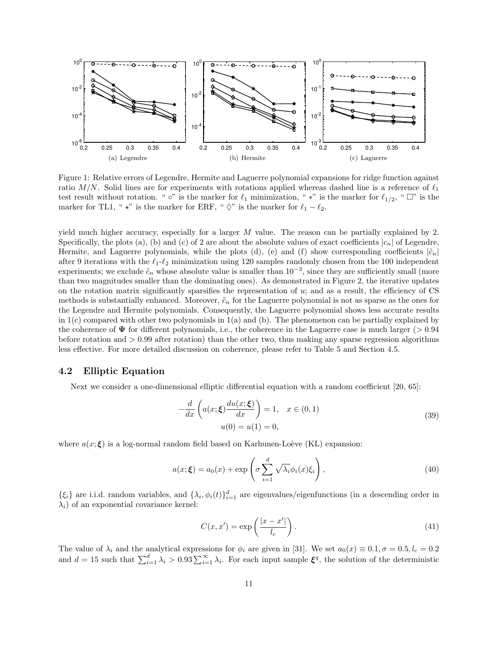

Figure 1: Relative errors of Legendre, Hermite and Laguerre polynomial expansions for ridge function against ratio  $M/N$ . Solid lines are for experiments with rotations applied whereas dashed line is a reference of  $\ell_1$ test result without rotation. "  $\circ$ " is the marker for  $\ell_1$  minimization, " \*" is the marker for  $\ell_{1/2}$ , "  $\Box$ " is the marker for TL1, "  $\star$ " is the marker for ERF, "  $\Diamond$ " is the marker for  $\ell_1 - \ell_2$ .

yield much higher accuracy, especially for a larger  $M$  value. The reason can be partially explained by 2. Specifically, the plots (a), (b) and (c) of 2 are about the absolute values of exact coefficients  $|c_n|$  of Legendre, Hermite, and Laguerre polynomials, while the plots (d), (e) and (f) show corresponding coefficients  $|\tilde{c}_n|$ after 9 iterations with the  $\ell_1$ - $\ell_2$  minimization using 120 samples randomly chosen from the 100 independent experiments; we exclude  $\tilde{c}_n$  whose absolute value is smaller than  $10^{-3}$ , since they are sufficiently small (more than two magnitudes smaller than the dominating ones). As demonstrated in Figure 2, the iterative updates on the rotation matrix significantly sparsifies the representation of u; and as a result, the efficiency of CS methods is substantially enhanced. Moreover,  $\tilde{c}_n$  for the Laguerre polynomial is not as sparse as the ones for the Legendre and Hermite polynomials. Consequently, the Laguerre polynomial shows less accurate results in  $1(c)$  compared with other two polynomials in  $1(a)$  and (b). The phenomenon can be partially explained by the coherence of  $\Psi$  for different polynomials, i.e., the coherence in the Laguerre case is much larger ( $> 0.94$ ) before rotation and  $> 0.99$  after rotation) than the other two, thus making any sparse regression algorithms less effective. For more detailed discussion on coherence, please refer to Table 5 and Section 4.5.

#### 4.2 Elliptic Equation

Next we consider a one-dimensional elliptic differential equation with a random coefficient [20, 65]:

$$
-\frac{d}{dx}\left(a(x;\boldsymbol{\xi})\frac{du(x;\boldsymbol{\xi})}{dx}\right) = 1, \quad x \in (0,1)
$$
  
 
$$
u(0) = u(1) = 0,
$$
 (39)

where  $a(x;\xi)$  is a log-normal random field based on Karhunen-Loève (KL) expansion:

$$
a(x; \xi) = a_0(x) + \exp\left(\sigma \sum_{i=1}^d \sqrt{\lambda_i} \phi_i(x) \xi_i\right),\tag{40}
$$

 $\{\xi_i\}$  are i.i.d. random variables, and  $\{\lambda_i, \phi_i(t)\}_{i=1}^d$  are eigenvalues/eigenfunctions (in a descending order in  $\lambda_i$ ) of an exponential covariance kernel:

$$
C(x, x') = \exp\left(\frac{|x - x'|}{l_c}\right). \tag{41}
$$

The value of  $\lambda_i$  and the analytical expressions for  $\phi_i$  are given in [31]. We set  $a_0(x) \equiv 0.1, \sigma = 0.5, l_c = 0.2$ and  $d = 15$  such that  $\sum_{i=1}^{d} \lambda_i > 0.93 \sum_{i=1}^{\infty} \lambda_i$ . For each input sample  $\xi^q$ , the solution of the deterministic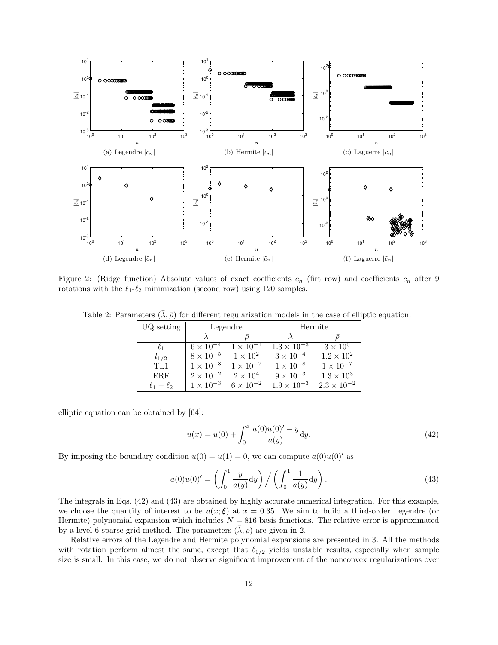

Figure 2: (Ridge function) Absolute values of exact coefficients  $c_n$  (firt row) and coefficients  $\tilde{c}_n$  after 9 rotations with the  $\ell_1-\ell_2$  minimization (second row) using 120 samples.

Table 2: Parameters  $(\bar{\lambda}, \bar{\rho})$  for different regularization models in the case of elliptic equation.

| UQ setting      | Legendre           |                    | Hermite              |                      |  |
|-----------------|--------------------|--------------------|----------------------|----------------------|--|
|                 |                    |                    |                      |                      |  |
| $\ell_1$        | $6 \times 10^{-4}$ | $1 \times 10^{-1}$ | $1.3 \times 10^{-3}$ | $3\times10^{0}$      |  |
| $l_{1/2}$       | $8 \times 10^{-5}$ | $1 \times 10^2$    | $3 \times 10^{-4}$   | $1.2 \times 10^{2}$  |  |
| TL1             | $1 \times 10^{-8}$ | $1 \times 10^{-7}$ | $1 \times 10^{-8}$   | $1 \times 10^{-7}$   |  |
| <b>ERF</b>      | $2 \times 10^{-2}$ | $2\times10^4$      | $9 \times 10^{-3}$   | $1.3 \times 10^3$    |  |
| $\ell_1-\ell_2$ | $1 \times 10^{-3}$ | $6 \times 10^{-2}$ | $1.9 \times 10^{-3}$ | $2.3 \times 10^{-2}$ |  |

elliptic equation can be obtained by [64]:

$$
u(x) = u(0) + \int_0^x \frac{a(0)u(0)' - y}{a(y)} dy.
$$
\n(42)

By imposing the boundary condition  $u(0) = u(1) = 0$ , we can compute  $a(0)u(0)$ ' as

$$
a(0)u(0)' = \left(\int_0^1 \frac{y}{a(y)} dy\right) / \left(\int_0^1 \frac{1}{a(y)} dy\right). \tag{43}
$$

The integrals in Eqs. (42) and (43) are obtained by highly accurate numerical integration. For this example, we choose the quantity of interest to be  $u(x;\xi)$  at  $x = 0.35$ . We aim to build a third-order Legendre (or Hermite) polynomial expansion which includes  $N = 816$  basis functions. The relative error is approximated by a level-6 sparse grid method. The parameters  $(\lambda, \bar{\rho})$  are given in 2.

Relative errors of the Legendre and Hermite polynomial expansions are presented in 3. All the methods with rotation perform almost the same, except that  $\ell_{1/2}$  yields unstable results, especially when sample size is small. In this case, we do not observe significant improvement of the nonconvex regularizations over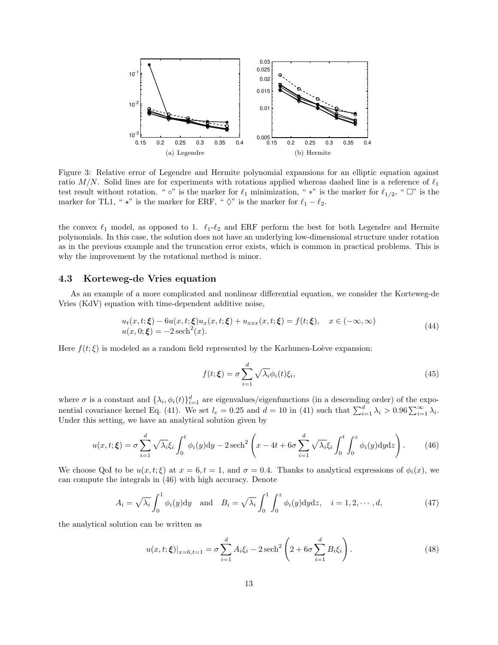

Figure 3: Relative error of Legendre and Hermite polynomial expansions for an elliptic equation against ratio  $M/N$ . Solid lines are for experiments with rotations applied whereas dashed line is a reference of  $\ell_1$ test result without rotation. "  $\circ$ " is the marker for  $\ell_1$  minimization, " \*" is the marker for  $\ell_{1/2}$ , "  $\Box$ " is the marker for TL1, "  $\star$ " is the marker for ERF, "  $\Diamond$ " is the marker for  $\ell_1 - \ell_2$ .

the convex  $\ell_1$  model, as opposed to 1.  $\ell_1$ - $\ell_2$  and ERF perform the best for both Legendre and Hermite polynomials. In this case, the solution does not have an underlying low-dimensional structure under rotation as in the previous example and the truncation error exists, which is common in practical problems. This is why the improvement by the rotational method is minor.

#### 4.3 Korteweg-de Vries equation

As an example of a more complicated and nonlinear differential equation, we consider the Korteweg-de Vries (KdV) equation with time-dependent additive noise,

$$
u_t(x,t;\boldsymbol{\xi}) - 6u(x,t;\boldsymbol{\xi})u_x(x,t;\boldsymbol{\xi}) + u_{xxx}(x,t;\boldsymbol{\xi}) = f(t;\boldsymbol{\xi}), \quad x \in (-\infty,\infty)
$$
  

$$
u(x,0;\boldsymbol{\xi}) = -2\operatorname{sech}^2(x).
$$
 (44)

Here  $f(t;\xi)$  is modeled as a random field represented by the Karhunen-Loève expansion:

$$
f(t; \xi) = \sigma \sum_{i=1}^{d} \sqrt{\lambda_i} \phi_i(t) \xi_i,
$$
\n(45)

where  $\sigma$  is a constant and  $\{\lambda_i, \phi_i(t)\}_{i=1}^d$  are eigenvalues/eigenfunctions (in a descending order) of the exponential covariance kernel Eq. (41). We set  $l_c = 0.25$  and  $d = 10$  in (41) such that  $\sum_{i=1}^{d} \lambda_i > 0.96 \sum_{i=1}^{\infty} \lambda_i$ . Under this setting, we have an analytical solution given by

$$
u(x,t;\boldsymbol{\xi}) = \sigma \sum_{i=1}^{d} \sqrt{\lambda_i} \xi_i \int_0^t \phi_i(y) dy - 2 \operatorname{sech}^2\left(x - 4t + 6\sigma \sum_{i=1}^{d} \sqrt{\lambda_i} \xi_i \int_0^t \int_0^z \phi_i(y) dy dz\right).
$$
 (46)

We choose QoI to be  $u(x, t; \xi)$  at  $x = 6, t = 1$ , and  $\sigma = 0.4$ . Thanks to analytical expressions of  $\phi_i(x)$ , we can compute the integrals in (46) with high accuracy. Denote

$$
A_i = \sqrt{\lambda_i} \int_0^1 \phi_i(y) dy \quad \text{and} \quad B_i = \sqrt{\lambda_i} \int_0^1 \int_0^z \phi_i(y) dy dz, \quad i = 1, 2, \cdots, d,
$$
 (47)

the analytical solution can be written as

$$
u(x, t; \xi)|_{x=6, t=1} = \sigma \sum_{i=1}^{d} A_i \xi_i - 2 \operatorname{sech}^2 \left( 2 + 6\sigma \sum_{i=1}^{d} B_i \xi_i \right).
$$
 (48)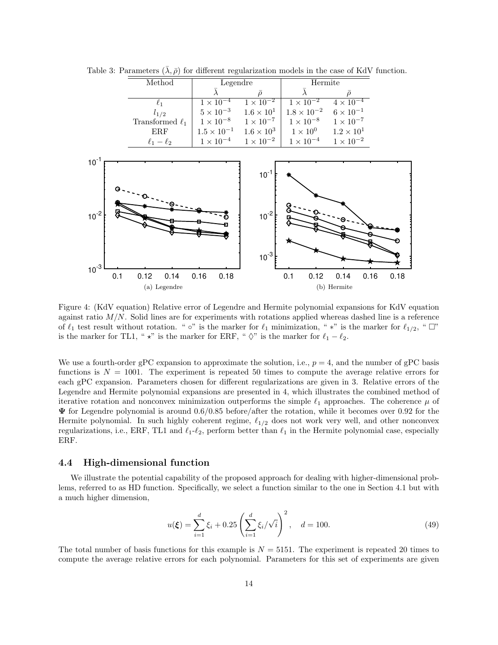| Method               | Legendre             |                    | Hermite              |                     |  |
|----------------------|----------------------|--------------------|----------------------|---------------------|--|
|                      |                      |                    |                      |                     |  |
|                      | $1 \times 10^{-4}$   | $1 \times 10^{-2}$ | $1 \times 10^{-2}$   | $4 \times 10^{-4}$  |  |
| $l_{1/2}$            | $5 \times 10^{-3}$   | $1.6 \times 10^1$  | $1.8 \times 10^{-2}$ | $6 \times 10^{-1}$  |  |
| Transformed $\ell_1$ | $1 \times 10^{-8}$   | $1 \times 10^{-7}$ | $1 \times 10^{-8}$   | $1 \times 10^{-7}$  |  |
| ERF                  | $1.5 \times 10^{-1}$ | $1.6 \times 10^3$  | $1\times10^{0}$      | $1.2 \times 10^{1}$ |  |
| $\ell_1-\ell_2$      | $1 \times 10^{-4}$   | $1 \times 10^{-2}$ | $1 \times 10^{-4}$   | $1 \times 10^{-2}$  |  |

Table 3: Parameters  $(\overline{\lambda}, \overline{\rho})$  for different regularization models in the case of KdV function.



Figure 4: (KdV equation) Relative error of Legendre and Hermite polynomial expansions for KdV equation against ratio  $M/N$ . Solid lines are for experiments with rotations applied whereas dashed line is a reference of  $\ell_1$  test result without rotation. " ∘" is the marker for  $\ell_1$  minimization, " \*" is the marker for  $\ell_{1/2}$ , "  $\Box$ " is the marker for TL1, "  $\star$ " is the marker for ERF, " $\Diamond$ " is the marker for  $\ell_1 - \ell_2$ .

We use a fourth-order gPC expansion to approximate the solution, i.e.,  $p = 4$ , and the number of gPC basis functions is  $N = 1001$ . The experiment is repeated 50 times to compute the average relative errors for each gPC expansion. Parameters chosen for different regularizations are given in 3. Relative errors of the Legendre and Hermite polynomial expansions are presented in 4, which illustrates the combined method of iterative rotation and nonconvex minimization outperforms the simple  $\ell_1$  approaches. The coherence  $\mu$  of  $\Psi$  for Legendre polynomial is around 0.6/0.85 before/after the rotation, while it becomes over 0.92 for the Hermite polynomial. In such highly coherent regime,  $\ell_{1/2}$  does not work very well, and other nonconvex regularizations, i.e., ERF, TL1 and  $\ell_1-\ell_2$ , perform better than  $\ell_1$  in the Hermite polynomial case, especially ERF.

#### 4.4 High-dimensional function

We illustrate the potential capability of the proposed approach for dealing with higher-dimensional problems, referred to as HD function. Specifically, we select a function similar to the one in Section 4.1 but with a much higher dimension,

$$
u(\xi) = \sum_{i=1}^{d} \xi_i + 0.25 \left( \sum_{i=1}^{d} \xi_i / \sqrt{i} \right)^2, \quad d = 100.
$$
 (49)

The total number of basis functions for this example is  $N = 5151$ . The experiment is repeated 20 times to compute the average relative errors for each polynomial. Parameters for this set of experiments are given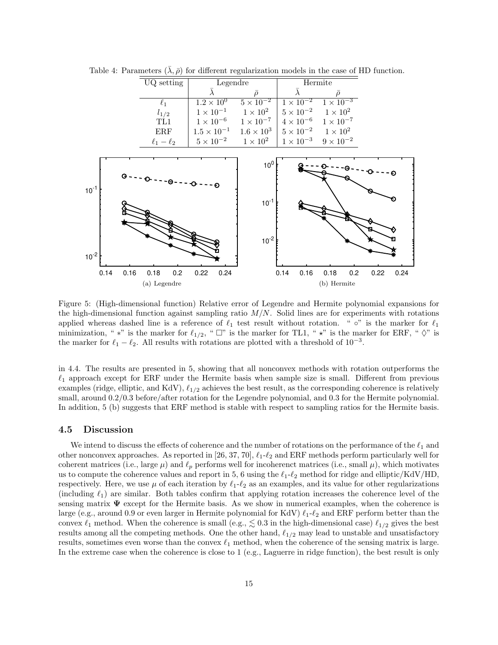

Table 4: Parameters  $(\overline{\lambda}, \overline{\rho})$  for different regularization models in the case of HD function.

Figure 5: (High-dimensional function) Relative error of Legendre and Hermite polynomial expansions for the high-dimensional function against sampling ratio  $M/N$ . Solid lines are for experiments with rotations applied whereas dashed line is a reference of  $\ell_1$  test result without rotation. "  $\circ$ " is the marker for  $\ell_1$ minimization, " \*" is the marker for  $\ell_{1/2}$ , "  $\Box$ " is the marker for TL1, " \*" is the marker for ERF, "  $\Diamond$ " is the marker for  $\ell_1 - \ell_2$ . All results with rotations are plotted with a threshold of 10<sup>-3</sup>.

in 4.4. The results are presented in 5, showing that all nonconvex methods with rotation outperforms the  $\ell_1$  approach except for ERF under the Hermite basis when sample size is small. Different from previous examples (ridge, elliptic, and KdV),  $\ell_{1/2}$  achieves the best result, as the corresponding coherence is relatively small, around 0.2/0.3 before/after rotation for the Legendre polynomial, and 0.3 for the Hermite polynomial. In addition, 5 (b) suggests that ERF method is stable with respect to sampling ratios for the Hermite basis.

#### 4.5 Discussion

We intend to discuss the effects of coherence and the number of rotations on the performance of the  $\ell_1$  and other nonconvex approaches. As reported in [26, 37, 70],  $\ell_1$ - $\ell_2$  and ERF methods perform particularly well for coherent matrices (i.e., large  $\mu$ ) and  $\ell_p$  performs well for incoherenct matrices (i.e., small  $\mu$ ), which motivates us to compute the coherence values and report in 5, 6 using the  $\ell_1-\ell_2$  method for ridge and elliptic/KdV/HD, respectively. Here, we use  $\mu$  of each iteration by  $\ell_1-\ell_2$  as an examples, and its value for other regularizations (including  $\ell_1$ ) are similar. Both tables confirm that applying rotation increases the coherence level of the sensing matrix  $\Psi$  except for the Hermite basis. As we show in numerical examples, when the coherence is large (e.g., around 0.9 or even larger in Hermite polynomial for KdV)  $\ell_1-\ell_2$  and ERF perform better than the convex  $\ell_1$  method. When the coherence is small (e.g.,  $\lesssim 0.3$  in the high-dimensional case)  $\ell_{1/2}$  gives the best results among all the competing methods. One the other hand,  $\ell_{1/2}$  may lead to unstable and unsatisfactory results, sometimes even worse than the convex  $\ell_1$  method, when the coherence of the sensing matrix is large. In the extreme case when the coherence is close to 1 (e.g., Laguerre in ridge function), the best result is only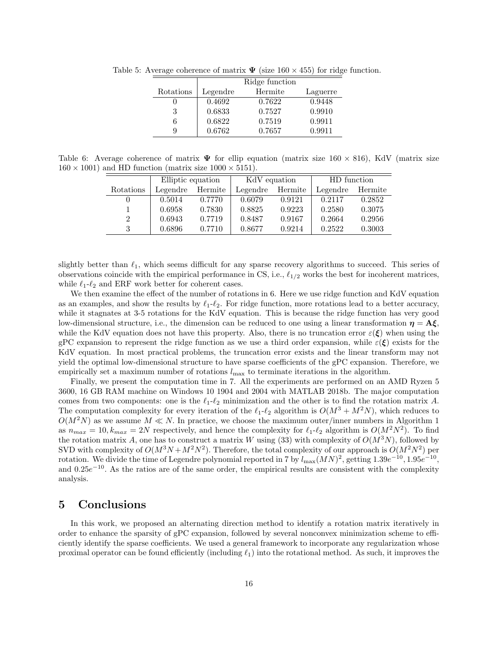|           | Ridge function |         |          |  |  |  |
|-----------|----------------|---------|----------|--|--|--|
| Rotations | Legendre       | Hermite | Laguerre |  |  |  |
|           | 0.4692         | 0.7622  | 0.9448   |  |  |  |
| 3         | 0.6833         | 0.7527  | 0.9910   |  |  |  |
| 6         | 0.6822         | 0.7519  | 0.9911   |  |  |  |
| 9         | 0.6762         | 0.7657  | 0.9911   |  |  |  |

Table 5: Average coherence of matrix  $\Psi$  (size 160  $\times$  455) for ridge function.

Table 6: Average coherence of matrix  $\Psi$  for ellip equation (matrix size 160  $\times$  816), KdV (matrix size  $160 \times 1001$  and HD function (matrix size  $1000 \times 5151$ ).

|               | Elliptic equation |         | KdV equation |         | HD function |         |
|---------------|-------------------|---------|--------------|---------|-------------|---------|
| Rotations     | Legendre          | Hermite | Legendre     | Hermite | Legendre    | Hermite |
|               | 0.5014            | 0.7770  | 0.6079       | 0.9121  | 0.2117      | 0.2852  |
|               | 0.6958            | 0.7830  | 0.8825       | 0.9223  | 0.2580      | 0.3075  |
| $\mathcal{D}$ | 0.6943            | 0.7719  | 0.8487       | 0.9167  | 0.2664      | 0.2956  |
| 3             | 0.6896            | 0.7710  | 0.8677       | 0.9214  | 0.2522      | 0.3003  |

slightly better than  $\ell_1$ , which seems difficult for any sparse recovery algorithms to succeed. This series of observations coincide with the empirical performance in CS, i.e.,  $\ell_{1/2}$  works the best for incoherent matrices, while  $\ell_1-\ell_2$  and ERF work better for coherent cases.

We then examine the effect of the number of rotations in 6. Here we use ridge function and KdV equation as an examples, and show the results by  $\ell_1-\ell_2$ . For ridge function, more rotations lead to a better accuracy, while it stagnates at 3-5 rotations for the KdV equation. This is because the ridge function has very good low-dimensional structure, i.e., the dimension can be reduced to one using a linear transformation  $\eta = A \xi$ . while the KdV equation does not have this property. Also, there is no truncation error  $\varepsilon(\xi)$  when using the gPC expansion to represent the ridge function as we use a third order expansion, while  $\varepsilon(\xi)$  exists for the KdV equation. In most practical problems, the truncation error exists and the linear transform may not yield the optimal low-dimensional structure to have sparse coefficients of the gPC expansion. Therefore, we empirically set a maximum number of rotations  $l_{\text{max}}$  to terminate iterations in the algorithm.

Finally, we present the computation time in 7. All the experiments are performed on an AMD Ryzen 5 3600, 16 GB RAM machine on Windows 10 1904 and 2004 with MATLAB 2018b. The major computation comes from two components: one is the  $\ell_1$ - $\ell_2$  minimization and the other is to find the rotation matrix A. The computation complexity for every iteration of the  $\ell_1-\ell_2$  algorithm is  $O(M^3 + M^2N)$ , which reduces to  $O(M^2N)$  as we assume  $M \ll N$ . In practice, we choose the maximum outer/inner numbers in Algorithm 1 as  $n_{max} = 10, k_{max} = 2N$  respectively, and hence the complexity for  $\ell_1$ - $\ell_2$  algorithm is  $O(M^2N^2)$ . To find the rotation matrix A, one has to construct a matrix W using (33) with complexity of  $O(M^3N)$ , followed by SVD with complexity of  $O(M^3N + M^2N^2)$ . Therefore, the total complexity of our approach is  $O(M^2N^2)$  per rotation. We divide the time of Legendre polynomial reported in 7 by  $l_{\text{max}}(MN)^2$ , getting  $1.39e^{-10}$ ,  $1.95e^{-10}$ , and  $0.25e^{-10}$ . As the ratios are of the same order, the empirical results are consistent with the complexity analysis.

## 5 Conclusions

In this work, we proposed an alternating direction method to identify a rotation matrix iteratively in order to enhance the sparsity of gPC expansion, followed by several nonconvex minimization scheme to efficiently identify the sparse coefficients. We used a general framework to incorporate any regularization whose proximal operator can be found efficiently (including  $\ell_1$ ) into the rotational method. As such, it improves the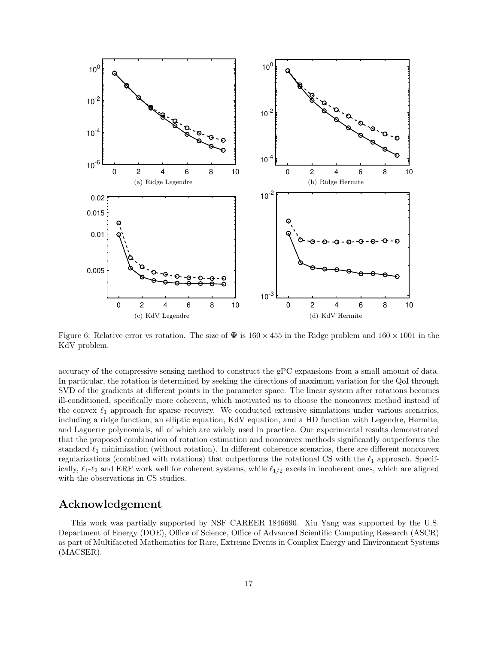

Figure 6: Relative error vs rotation. The size of  $\Psi$  is  $160 \times 455$  in the Ridge problem and  $160 \times 1001$  in the KdV problem.

accuracy of the compressive sensing method to construct the gPC expansions from a small amount of data. In particular, the rotation is determined by seeking the directions of maximum variation for the QoI through SVD of the gradients at different points in the parameter space. The linear system after rotations becomes ill-conditioned, specifically more coherent, which motivated us to choose the nonconvex method instead of the convex  $\ell_1$  approach for sparse recovery. We conducted extensive simulations under various scenarios, including a ridge function, an elliptic equation, KdV equation, and a HD function with Legendre, Hermite, and Laguerre polynomials, all of which are widely used in practice. Our experimental results demonstrated that the proposed combination of rotation estimation and nonconvex methods significantly outperforms the standard  $\ell_1$  minimization (without rotation). In different coherence scenarios, there are different nonconvex regularizations (combined with rotations) that outperforms the rotational CS with the  $\ell_1$  approach. Specifically,  $\ell_1-\ell_2$  and ERF work well for coherent systems, while  $\ell_{1/2}$  excels in incoherent ones, which are aligned with the observations in CS studies.

## Acknowledgement

This work was partially supported by NSF CAREER 1846690. Xiu Yang was supported by the U.S. Department of Energy (DOE), Office of Science, Office of Advanced Scientific Computing Research (ASCR) as part of Multifaceted Mathematics for Rare, Extreme Events in Complex Energy and Environment Systems (MACSER).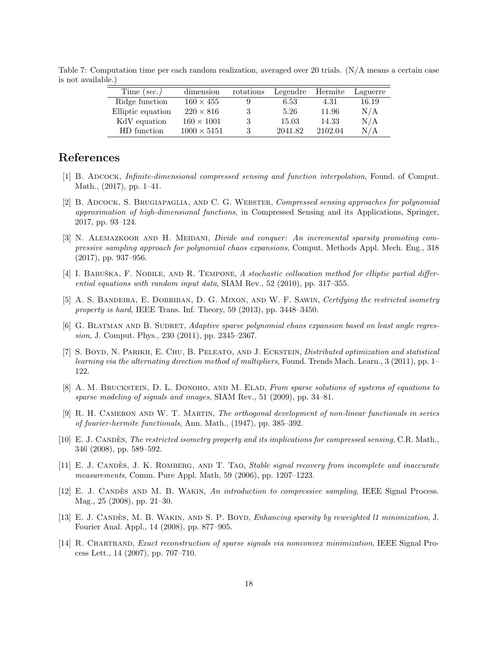| Time (sec.)       | dimension          | rotations | Legendre | Hermite | Laguerre |
|-------------------|--------------------|-----------|----------|---------|----------|
| Ridge function    | $160 \times 455$   |           | 6.53     | 4.31    | 16.19    |
| Elliptic equation | $220 \times 816$   |           | 5.26     | 11.96   | N/A      |
| KdV equation      | $160 \times 1001$  |           | 15.03    | 14.33   | N/A      |
| HD function       | $1000 \times 5151$ |           | 2041.82  | 2102.04 | N/A      |

Table 7: Computation time per each random realization, averaged over 20 trials. (N/A means a certain case is not available.)

## References

- [1] B. Adcock, Infinite-dimensional compressed sensing and function interpolation, Found. of Comput. Math., (2017), pp. 1–41.
- [2] B. ADCOCK, S. BRUGIAPAGLIA, AND C. G. WEBSTER, Compressed sensing approaches for polynomial approximation of high-dimensional functions, in Compressed Sensing and its Applications, Springer, 2017, pp. 93–124.
- [3] N. ALEMAZKOOR AND H. MEIDANI, Divide and conquer: An incremental sparsity promoting compressive sampling approach for polynomial chaos expansions, Comput. Methods Appl. Mech. Eng., 318 (2017), pp. 937–956.
- [4] I. BABUŠKA, F. NOBILE, AND R. TEMPONE, A stochastic collocation method for elliptic partial differential equations with random input data, SIAM Rev., 52 (2010), pp. 317–355.
- [5] A. S. BANDEIRA, E. DOBRIBAN, D. G. MIXON, AND W. F. SAWIN, Certifying the restricted isometry property is hard, IEEE Trans. Inf. Theory, 59 (2013), pp. 3448-3450.
- [6] G. BLATMAN AND B. SUDRET, Adaptive sparse polynomial chaos expansion based on least angle regression, J. Comput. Phys., 230 (2011), pp. 2345–2367.
- [7] S. Boyd, N. Parikh, E. Chu, B. Peleato, and J. Eckstein, Distributed optimization and statistical learning via the alternating direction method of multipliers, Found. Trends Mach. Learn., 3 (2011), pp. 1– 122.
- [8] A. M. BRUCKSTEIN, D. L. DONOHO, AND M. ELAD, From sparse solutions of systems of equations to sparse modeling of signals and images, SIAM Rev., 51 (2009), pp. 34–81.
- [9] R. H. Cameron and W. T. Martin, The orthogonal development of non-linear functionals in series of fourier-hermite functionals, Ann. Math., (1947), pp. 385–392.
- [10] E. J. CANDES, The restricted isometry property and its implications for compressed sensing, C.R. Math., 346 (2008), pp. 589–592.
- [11] E. J. CANDÈS, J. K. ROMBERG, AND T. TAO, Stable signal recovery from incomplete and inaccurate measurements, Comm. Pure Appl. Math, 59 (2006), pp. 1207–1223.
- [12] E. J. CANDÈS AND M. B. WAKIN, An introduction to compressive sampling, IEEE Signal Process. Mag., 25 (2008), pp. 21–30.
- [13] E. J. CANDÈS, M. B. WAKIN, AND S. P. BOYD, Enhancing sparsity by reweighted l1 minimization, J. Fourier Anal. Appl., 14 (2008), pp. 877–905.
- [14] R. Chartrand, Exact reconstruction of sparse signals via nonconvex minimization, IEEE Signal Process Lett., 14 (2007), pp. 707–710.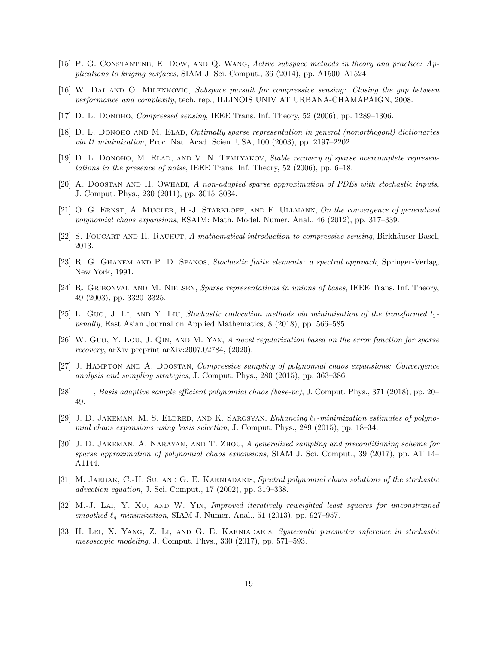- [15] P. G. Constantine, E. Dow, and Q. Wang, Active subspace methods in theory and practice: Applications to kriging surfaces, SIAM J. Sci. Comput., 36 (2014), pp. A1500–A1524.
- [16] W. Dai and O. Milenkovic, Subspace pursuit for compressive sensing: Closing the gap between performance and complexity, tech. rep., ILLINOIS UNIV AT URBANA-CHAMAPAIGN, 2008.
- [17] D. L. DONOHO, *Compressed sensing*, IEEE Trans. Inf. Theory, 52 (2006), pp. 1289–1306.
- [18] D. L. DONOHO AND M. ELAD, *Optimally sparse representation in general (nonorthogonl) dictionaries* via l1 minimization, Proc. Nat. Acad. Scien. USA, 100 (2003), pp. 2197–2202.
- [19] D. L. DONOHO, M. ELAD, AND V. N. TEMLYAKOV, Stable recovery of sparse overcomplete representations in the presence of noise, IEEE Trans. Inf. Theory, 52 (2006), pp. 6–18.
- [20] A. Doostan and H. Owhadi, A non-adapted sparse approximation of PDEs with stochastic inputs, J. Comput. Phys., 230 (2011), pp. 3015–3034.
- [21] O. G. ERNST, A. MUGLER, H.-J. STARKLOFF, AND E. ULLMANN, On the convergence of generalized polynomial chaos expansions, ESAIM: Math. Model. Numer. Anal., 46 (2012), pp. 317–339.
- [22] S. FOUCART AND H. RAUHUT, A mathematical introduction to compressive sensing, Birkhäuser Basel, 2013.
- [23] R. G. Ghanem and P. D. Spanos, Stochastic finite elements: a spectral approach, Springer-Verlag, New York, 1991.
- [24] R. GRIBONVAL AND M. NIELSEN, Sparse representations in unions of bases, IEEE Trans. Inf. Theory, 49 (2003), pp. 3320–3325.
- [25] L. Guo, J. Li, AND Y. Liu, Stochastic collocation methods via minimisation of the transformed  $l_1$ penalty, East Asian Journal on Applied Mathematics, 8 (2018), pp. 566–585.
- [26] W. Guo, Y. Lou, J. Qin, and M. Yan, A novel regularization based on the error function for sparse recovery, arXiv preprint arXiv:2007.02784, (2020).
- [27] J. Hampton and A. Doostan, Compressive sampling of polynomial chaos expansions: Convergence analysis and sampling strategies, J. Comput. Phys., 280 (2015), pp. 363–386.
- [28]  $\_\_\_\_\_\$ Basis adaptive sample efficient polynomial chaos (base-pc), J. Comput. Phys., 371 (2018), pp. 20– 49.
- [29] J. D. JAKEMAN, M. S. ELDRED, AND K. SARGSYAN, *Enhancing*  $\ell_1$ -minimization estimates of polynomial chaos expansions using basis selection, J. Comput. Phys., 289 (2015), pp. 18–34.
- [30] J. D. Jakeman, A. Narayan, and T. Zhou, A generalized sampling and preconditioning scheme for sparse approximation of polynomial chaos expansions, SIAM J. Sci. Comput., 39 (2017), pp. A1114-A1144.
- [31] M. JARDAK, C.-H. SU, AND G. E. KARNIADAKIS, Spectral polynomial chaos solutions of the stochastic advection equation, J. Sci. Comput., 17 (2002), pp. 319–338.
- [32] M.-J. LAI, Y. XU, AND W. YIN, Improved iteratively reweighted least squares for unconstrained smoothed  $\ell_q$  minimization, SIAM J. Numer. Anal., 51 (2013), pp. 927–957.
- [33] H. LEI, X. YANG, Z. LI, AND G. E. KARNIADAKIS, Systematic parameter inference in stochastic mesoscopic modeling, J. Comput. Phys., 330 (2017), pp. 571–593.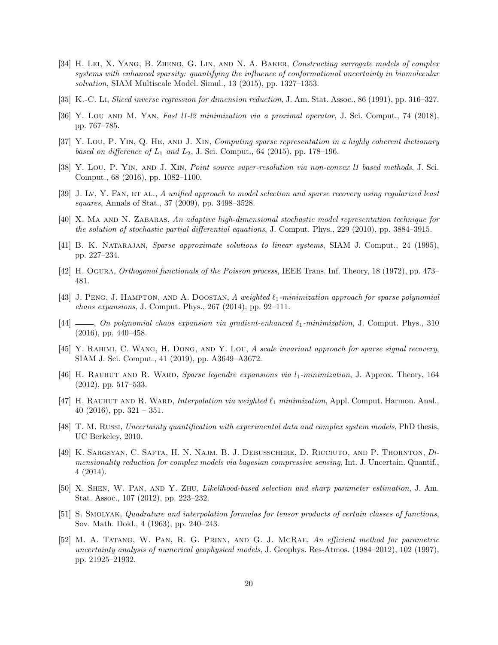- [34] H. LEI, X. YANG, B. ZHENG, G. LIN, AND N. A. BAKER, Constructing surrogate models of complex systems with enhanced sparsity: quantifying the influence of conformational uncertainty in biomolecular solvation, SIAM Multiscale Model. Simul., 13 (2015), pp. 1327–1353.
- [35] K.-C. Li, Sliced inverse regression for dimension reduction, J. Am. Stat. Assoc., 86 (1991), pp. 316–327.
- [36] Y. LOU AND M. YAN, Fast  $11$ -12 minimization via a proximal operator, J. Sci. Comput., 74 (2018), pp. 767–785.
- [37] Y. Lou, P. YIN, Q. HE, AND J. XIN, Computing sparse representation in a highly coherent dictionary based on difference of  $L_1$  and  $L_2$ , J. Sci. Comput., 64 (2015), pp. 178-196.
- [38] Y. Lou, P. Yin, and J. Xin, Point source super-resolution via non-convex l1 based methods, J. Sci. Comput., 68 (2016), pp. 1082–1100.
- [39] J. Lv, Y. FAN, ET AL., A unified approach to model selection and sparse recovery using regularized least squares, Annals of Stat., 37 (2009), pp. 3498–3528.
- [40] X. MA AND N. ZABARAS, An adaptive high-dimensional stochastic model representation technique for the solution of stochastic partial differential equations, J. Comput. Phys., 229 (2010), pp. 3884–3915.
- [41] B. K. NATARAJAN, Sparse approximate solutions to linear systems, SIAM J. Comput., 24 (1995), pp. 227–234.
- [42] H. Ogura, Orthogonal functionals of the Poisson process, IEEE Trans. Inf. Theory, 18 (1972), pp. 473– 481.
- [43] J. PENG, J. HAMPTON, AND A. DOOSTAN, A weighted  $\ell_1$ -minimization approach for sparse polynomial chaos expansions, J. Comput. Phys., 267 (2014), pp. 92–111.
- [44]  $\_\_\_\_\_$ , On polynomial chaos expansion via gradient-enhanced  $\ell_1$ -minimization, J. Comput. Phys., 310 (2016), pp. 440–458.
- [45] Y. Rahimi, C. Wang, H. Dong, and Y. Lou, A scale invariant approach for sparse signal recovery, SIAM J. Sci. Comput., 41 (2019), pp. A3649–A3672.
- [46] H. RAUHUT AND R. WARD, Sparse legendre expansions via  $l_1$ -minimization, J. Approx. Theory, 164 (2012), pp. 517–533.
- [47] H. RAUHUT AND R. WARD, Interpolation via weighted  $\ell_1$  minimization, Appl. Comput. Harmon. Anal. 40 (2016), pp.  $321 - 351$ .
- [48] T. M. Russi, Uncertainty quantification with experimental data and complex system models, PhD thesis, UC Berkeley, 2010.
- [49] K. Sargsyan, C. Safta, H. N. Najm, B. J. Debusschere, D. Ricciuto, and P. Thornton, Dimensionality reduction for complex models via bayesian compressive sensing, Int. J. Uncertain. Quantif., 4 (2014).
- [50] X. Shen, W. Pan, and Y. Zhu, Likelihood-based selection and sharp parameter estimation, J. Am. Stat. Assoc., 107 (2012), pp. 223–232.
- [51] S. Smolyak, Quadrature and interpolation formulas for tensor products of certain classes of functions, Sov. Math. Dokl., 4 (1963), pp. 240–243.
- [52] M. A. Tatang, W. Pan, R. G. Prinn, and G. J. McRae, An efficient method for parametric uncertainty analysis of numerical geophysical models, J. Geophys. Res-Atmos. (1984–2012), 102 (1997), pp. 21925–21932.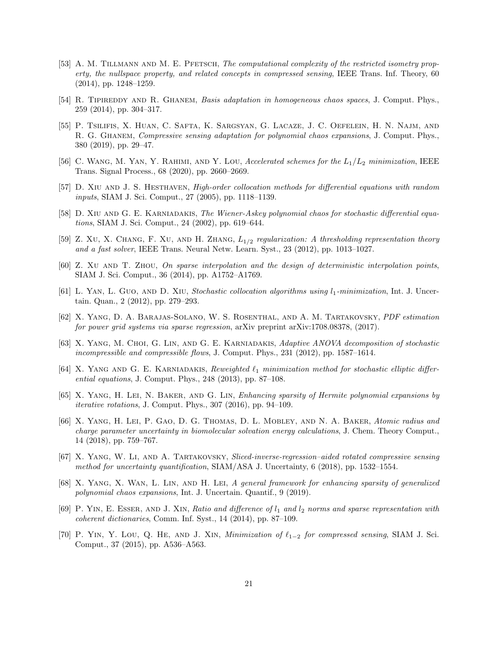- [53] A. M. TILLMANN AND M. E. PFETSCH, The computational complexity of the restricted isometry property, the nullspace property, and related concepts in compressed sensing, IEEE Trans. Inf. Theory, 60 (2014), pp. 1248–1259.
- [54] R. TIPIREDDY AND R. GHANEM, *Basis adaptation in homogeneous chaos spaces*, J. Comput. Phys., 259 (2014), pp. 304–317.
- [55] P. Tsilifis, X. Huan, C. Safta, K. Sargsyan, G. Lacaze, J. C. Oefelein, H. N. Najm, and R. G. GHANEM, Compressive sensing adaptation for polynomial chaos expansions, J. Comput. Phys., 380 (2019), pp. 29–47.
- [56] C. WANG, M. YAN, Y. RAHIMI, AND Y. LOU, Accelerated schemes for the  $L_1/L_2$  minimization, IEEE Trans. Signal Process., 68 (2020), pp. 2660–2669.
- [57] D. XIU AND J. S. HESTHAVEN, *High-order collocation methods for differential equations with random* inputs, SIAM J. Sci. Comput., 27 (2005), pp. 1118–1139.
- [58] D. XIU AND G. E. KARNIADAKIS, The Wiener-Askey polynomial chaos for stochastic differential equations, SIAM J. Sci. Comput., 24 (2002), pp. 619–644.
- [59] Z. XU, X. CHANG, F. XU, AND H. ZHANG,  $L_{1/2}$  regularization: A thresholding representation theory and a fast solver, IEEE Trans. Neural Netw. Learn. Syst., 23 (2012), pp. 1013–1027.
- [60] Z. Xu and T. Zhou, On sparse interpolation and the design of deterministic interpolation points, SIAM J. Sci. Comput., 36 (2014), pp. A1752–A1769.
- [61] L. YAN, L. GUO, AND D. XIU, Stochastic collocation algorithms using  $l_1$ -minimization, Int. J. Uncertain. Quan., 2 (2012), pp. 279–293.
- [62] X. Yang, D. A. Barajas-Solano, W. S. Rosenthal, and A. M. Tartakovsky, PDF estimation for power grid systems via sparse regression, arXiv preprint arXiv:1708.08378, (2017).
- [63] X. Yang, M. Choi, G. Lin, and G. E. Karniadakis, Adaptive ANOVA decomposition of stochastic incompressible and compressible flows, J. Comput. Phys., 231 (2012), pp. 1587–1614.
- [64] X. YANG AND G. E. KARNIADAKIS, Reweighted  $\ell_1$  minimization method for stochastic elliptic differential equations, J. Comput. Phys., 248 (2013), pp. 87–108.
- [65] X. Yang, H. Lei, N. Baker, and G. Lin, Enhancing sparsity of Hermite polynomial expansions by iterative rotations, J. Comput. Phys., 307 (2016), pp. 94–109.
- [66] X. Yang, H. Lei, P. Gao, D. G. Thomas, D. L. Mobley, and N. A. Baker, Atomic radius and charge parameter uncertainty in biomolecular solvation energy calculations, J. Chem. Theory Comput., 14 (2018), pp. 759–767.
- [67] X. Yang, W. Li, and A. Tartakovsky, Sliced-inverse-regression–aided rotated compressive sensing method for uncertainty quantification, SIAM/ASA J. Uncertainty, 6 (2018), pp. 1532–1554.
- [68] X. Yang, X. Wan, L. Lin, and H. Lei, A general framework for enhancing sparsity of generalized polynomial chaos expansions, Int. J. Uncertain. Quantif., 9 (2019).
- [69] P. YIN, E. ESSER, AND J. XIN, Ratio and difference of  $l_1$  and  $l_2$  norms and sparse representation with coherent dictionaries, Comm. Inf. Syst., 14 (2014), pp. 87–109.
- [70] P. Yin, Y. Lou, Q. HE, AND J. Xin, Minimization of  $\ell_{1-2}$  for compressed sensing, SIAM J. Sci. Comput., 37 (2015), pp. A536–A563.